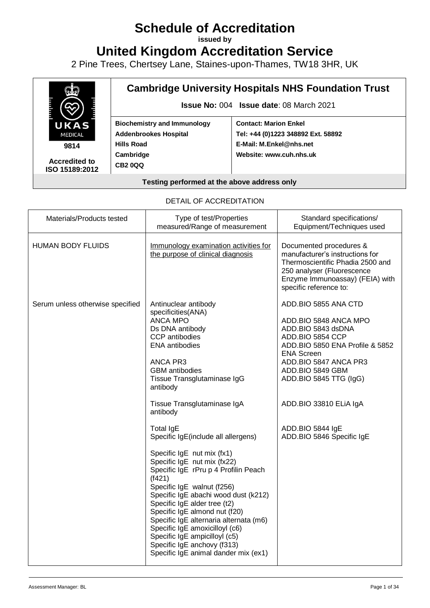# **Schedule of Accreditation**

**issued by**

**United Kingdom Accreditation Service**

2 Pine Trees, Chertsey Lane, Staines-upon-Thames, TW18 3HR, UK



**9814**

**Accredited to ISO 15189:2012**

## **Cambridge University Hospitals NHS Foundation Trust**

**Issue No:** 004 **Issue date**: 08 March 2021

**Biochemistry and Immunology Addenbrookes Hospital Hills Road Cambridge CB2 0QQ**

**Contact: Marion Enkel Tel: +44 (0)1223 348892 Ext. 58892 E-Mail: M.Enkel@nhs.net Website: www.cuh.nhs.uk**

#### **Testing performed at the above address only**

#### DETAIL OF ACCREDITATION

| <b>HUMAN BODY FLUIDS</b><br>Immunology examination activities for<br>Documented procedures &<br>the purpose of clinical diagnosis<br>manufacturer's instructions for<br>Thermoscientific Phadia 2500 and<br>250 analyser (Fluorescence<br>Enzyme Immunoassay) (FEIA) with<br>specific reference to:<br>ADD.BIO 5855 ANA CTD<br>Serum unless otherwise specified<br>Antinuclear antibody<br>specificities(ANA)<br><b>ANCA MPO</b><br>ADD.BIO 5848 ANCA MPO<br>Ds DNA antibody<br>ADD.BIO 5843 dsDNA<br>CCP antibodies<br>ADD.BIO 5854 CCP<br><b>ENA</b> antibodies<br>ADD.BIO 5850 ENA Profile & 5852<br><b>ENA Screen</b><br><b>ANCA PR3</b><br>ADD.BIO 5847 ANCA PR3<br><b>GBM</b> antibodies<br>ADD.BIO 5849 GBM<br>Tissue Transglutaminase IgG<br>ADD.BIO 5845 TTG (IgG)<br>antibody<br>Tissue Transglutaminase IgA<br>ADD.BIO 33810 ELIA IgA<br>antibody<br><b>Total IgE</b><br>ADD.BIO 5844 IgE<br>ADD.BIO 5846 Specific IgE<br>Specific IgE(include all allergens)<br>Specific IgE nut mix (fx1)<br>Specific IgE nut mix (fx22)<br>Specific IgE rPru p 4 Profilin Peach<br>(f421)<br>Specific IgE walnut (f256)<br>Specific IgE abachi wood dust (k212)<br>Specific IgE alder tree (t2)<br>Specific IgE almond nut (f20)<br>Specific IgE alternaria alternata (m6)<br>Specific IgE amoxicilloyl (c6) | Materials/Products tested | Type of test/Properties<br>measured/Range of measurement | Standard specifications/<br>Equipment/Techniques used |
|------------------------------------------------------------------------------------------------------------------------------------------------------------------------------------------------------------------------------------------------------------------------------------------------------------------------------------------------------------------------------------------------------------------------------------------------------------------------------------------------------------------------------------------------------------------------------------------------------------------------------------------------------------------------------------------------------------------------------------------------------------------------------------------------------------------------------------------------------------------------------------------------------------------------------------------------------------------------------------------------------------------------------------------------------------------------------------------------------------------------------------------------------------------------------------------------------------------------------------------------------------------------------------------------------------|---------------------------|----------------------------------------------------------|-------------------------------------------------------|
|                                                                                                                                                                                                                                                                                                                                                                                                                                                                                                                                                                                                                                                                                                                                                                                                                                                                                                                                                                                                                                                                                                                                                                                                                                                                                                            |                           |                                                          |                                                       |
| Specific IgE anchovy (f313)<br>Specific IgE animal dander mix (ex1)                                                                                                                                                                                                                                                                                                                                                                                                                                                                                                                                                                                                                                                                                                                                                                                                                                                                                                                                                                                                                                                                                                                                                                                                                                        |                           | Specific IgE ampicilloyl (c5)                            |                                                       |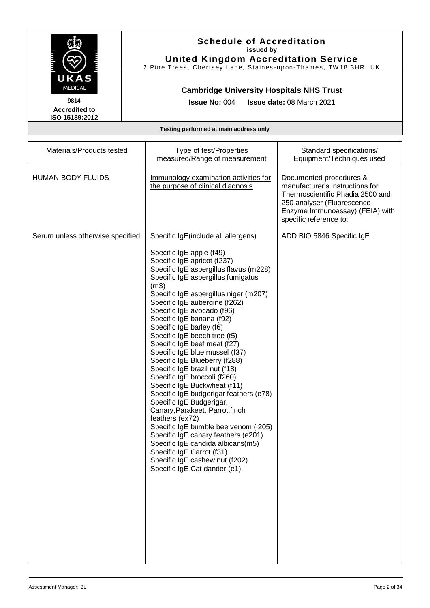

**United Kingdom Accreditation Service** 2 Pine Trees, Chertsey Lane, Staines-upon-Thames, TW18 3HR, UK

### **Cambridge University Hospitals NHS Trust**

**Issue No:** 004 **Issue date:** 08 March 2021

**Accredited to ISO 15189:2012** 

| Materials/Products tested        | Type of test/Properties<br>measured/Range of measurement                                                                                                                                                                                                                                                                                                                                                                                                                                                                                                                                                                                                                                                                                                                                                                                                                                                                                   | Standard specifications/<br>Equipment/Techniques used                                                                                                                                     |
|----------------------------------|--------------------------------------------------------------------------------------------------------------------------------------------------------------------------------------------------------------------------------------------------------------------------------------------------------------------------------------------------------------------------------------------------------------------------------------------------------------------------------------------------------------------------------------------------------------------------------------------------------------------------------------------------------------------------------------------------------------------------------------------------------------------------------------------------------------------------------------------------------------------------------------------------------------------------------------------|-------------------------------------------------------------------------------------------------------------------------------------------------------------------------------------------|
| <b>HUMAN BODY FLUIDS</b>         | Immunology examination activities for<br>the purpose of clinical diagnosis                                                                                                                                                                                                                                                                                                                                                                                                                                                                                                                                                                                                                                                                                                                                                                                                                                                                 | Documented procedures &<br>manufacturer's instructions for<br>Thermoscientific Phadia 2500 and<br>250 analyser (Fluorescence<br>Enzyme Immunoassay) (FEIA) with<br>specific reference to: |
| Serum unless otherwise specified | Specific IgE(include all allergens)<br>Specific IgE apple (f49)<br>Specific IgE apricot (f237)<br>Specific IgE aspergillus flavus (m228)<br>Specific IgE aspergillus fumigatus<br>(m3)<br>Specific IgE aspergillus niger (m207)<br>Specific IgE aubergine (f262)<br>Specific IgE avocado (f96)<br>Specific IgE banana (f92)<br>Specific IgE barley (f6)<br>Specific IgE beech tree (t5)<br>Specific IgE beef meat (f27)<br>Specific IgE blue mussel (f37)<br>Specific IgE Blueberry (f288)<br>Specific IgE brazil nut (f18)<br>Specific IgE broccoli (f260)<br>Specific IgE Buckwheat (f11)<br>Specific IgE budgerigar feathers (e78)<br>Specific IgE Budgerigar,<br>Canary, Parakeet, Parrot, finch<br>feathers (ex72)<br>Specific IgE bumble bee venom (i205)<br>Specific IgE canary feathers (e201)<br>Specific IgE candida albicans(m5)<br>Specific IgE Carrot (f31)<br>Specific IgE cashew nut (f202)<br>Specific IgE Cat dander (e1) | ADD.BIO 5846 Specific IgE                                                                                                                                                                 |
|                                  |                                                                                                                                                                                                                                                                                                                                                                                                                                                                                                                                                                                                                                                                                                                                                                                                                                                                                                                                            |                                                                                                                                                                                           |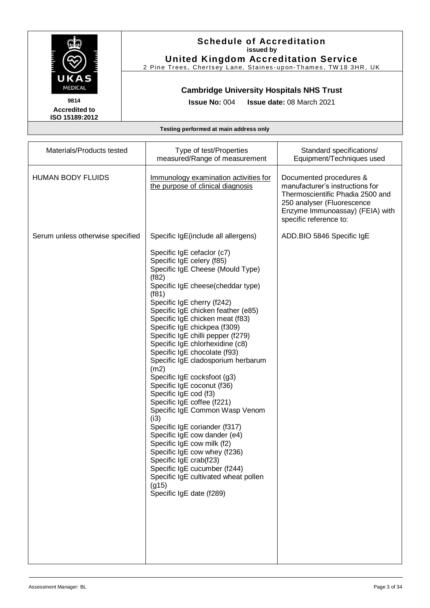

## **Schedule of Accreditation issued by**

**United Kingdom Accreditation Service** 2 Pine Trees, Chertsey Lane, Staines-upon-Thames, TW18 3HR, UK

### **Cambridge University Hospitals NHS Trust**

**Issue No:** 004 **Issue date:** 08 March 2021

| Materials/Products tested        | Type of test/Properties<br>measured/Range of measurement                                                                                                                                                                                                                                                                                                                                                                                                                                                                                                                                                                                                                                                                                                                                                                                                                                                                   | Standard specifications/<br>Equipment/Techniques used                                                                                                                                     |
|----------------------------------|----------------------------------------------------------------------------------------------------------------------------------------------------------------------------------------------------------------------------------------------------------------------------------------------------------------------------------------------------------------------------------------------------------------------------------------------------------------------------------------------------------------------------------------------------------------------------------------------------------------------------------------------------------------------------------------------------------------------------------------------------------------------------------------------------------------------------------------------------------------------------------------------------------------------------|-------------------------------------------------------------------------------------------------------------------------------------------------------------------------------------------|
| <b>HUMAN BODY FLUIDS</b>         | Immunology examination activities for<br>the purpose of clinical diagnosis                                                                                                                                                                                                                                                                                                                                                                                                                                                                                                                                                                                                                                                                                                                                                                                                                                                 | Documented procedures &<br>manufacturer's instructions for<br>Thermoscientific Phadia 2500 and<br>250 analyser (Fluorescence<br>Enzyme Immunoassay) (FEIA) with<br>specific reference to: |
| Serum unless otherwise specified | Specific IgE(include all allergens)<br>Specific IgE cefaclor (c7)<br>Specific IgE celery (f85)<br>Specific IgE Cheese (Mould Type)<br>(f82)<br>Specific IgE cheese(cheddar type)<br>(f81)<br>Specific IgE cherry (f242)<br>Specific IgE chicken feather (e85)<br>Specific IgE chicken meat (f83)<br>Specific IgE chickpea (f309)<br>Specific IgE chilli pepper (f279)<br>Specific IgE chlorhexidine (c8)<br>Specific IgE chocolate (f93)<br>Specific IgE cladosporium herbarum<br>(m2)<br>Specific IgE cocksfoot (g3)<br>Specific IgE coconut (f36)<br>Specific IgE cod (f3)<br>Specific IgE coffee (f221)<br>Specific IgE Common Wasp Venom<br>(i3)<br>Specific IgE coriander (f317)<br>Specific IgE cow dander (e4)<br>Specific IgE cow milk (f2)<br>Specific IgE cow whey (f236)<br>Specific IgE crab(f23)<br>Specific IgE cucumber (f244)<br>Specific IgE cultivated wheat pollen<br>(g15)<br>Specific IgE date (f289) | ADD.BIO 5846 Specific IgE                                                                                                                                                                 |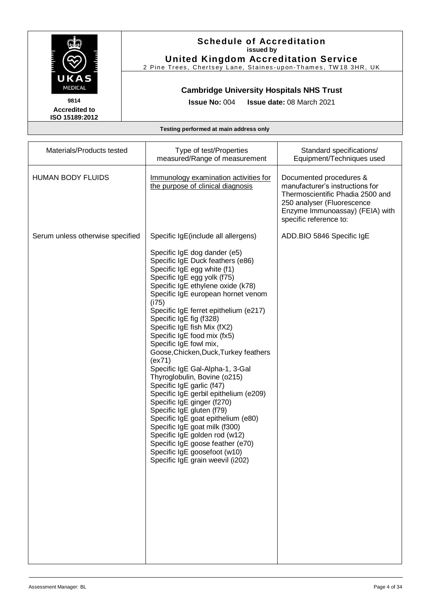

**United Kingdom Accreditation Service** 2 Pine Trees, Chertsey Lane, Staines-upon-Thames, TW18 3HR, UK

### **Cambridge University Hospitals NHS Trust**

**Issue No:** 004 **Issue date:** 08 March 2021

**Accredited to ISO 15189:2012** 

| Materials/Products tested        | Type of test/Properties<br>measured/Range of measurement                                                                                                                                                                                                                                                                                                                                                                                                                                                                                                                                                                                                                                                                                                                                                                                              | Standard specifications/<br>Equipment/Techniques used                                                                                                                                     |
|----------------------------------|-------------------------------------------------------------------------------------------------------------------------------------------------------------------------------------------------------------------------------------------------------------------------------------------------------------------------------------------------------------------------------------------------------------------------------------------------------------------------------------------------------------------------------------------------------------------------------------------------------------------------------------------------------------------------------------------------------------------------------------------------------------------------------------------------------------------------------------------------------|-------------------------------------------------------------------------------------------------------------------------------------------------------------------------------------------|
| <b>HUMAN BODY FLUIDS</b>         | Immunology examination activities for<br>the purpose of clinical diagnosis                                                                                                                                                                                                                                                                                                                                                                                                                                                                                                                                                                                                                                                                                                                                                                            | Documented procedures &<br>manufacturer's instructions for<br>Thermoscientific Phadia 2500 and<br>250 analyser (Fluorescence<br>Enzyme Immunoassay) (FEIA) with<br>specific reference to: |
| Serum unless otherwise specified | Specific IgE(include all allergens)                                                                                                                                                                                                                                                                                                                                                                                                                                                                                                                                                                                                                                                                                                                                                                                                                   | ADD.BIO 5846 Specific IgE                                                                                                                                                                 |
|                                  | Specific IgE dog dander (e5)<br>Specific IgE Duck feathers (e86)<br>Specific IgE egg white (f1)<br>Specific IgE egg yolk (f75)<br>Specific IgE ethylene oxide (k78)<br>Specific IgE european hornet venom<br>(i75)<br>Specific IgE ferret epithelium (e217)<br>Specific IgE fig (f328)<br>Specific IgE fish Mix (fX2)<br>Specific IgE food mix (fx5)<br>Specific IgE fowl mix,<br>Goose, Chicken, Duck, Turkey feathers<br>(ex71)<br>Specific IgE Gal-Alpha-1, 3-Gal<br>Thyroglobulin, Bovine (o215)<br>Specific IgE garlic (f47)<br>Specific IgE gerbil epithelium (e209)<br>Specific IgE ginger (f270)<br>Specific IgE gluten (f79)<br>Specific IgE goat epithelium (e80)<br>Specific IgE goat milk (f300)<br>Specific IgE golden rod (w12)<br>Specific IgE goose feather (e70)<br>Specific IgE goosefoot (w10)<br>Specific IgE grain weevil (i202) |                                                                                                                                                                                           |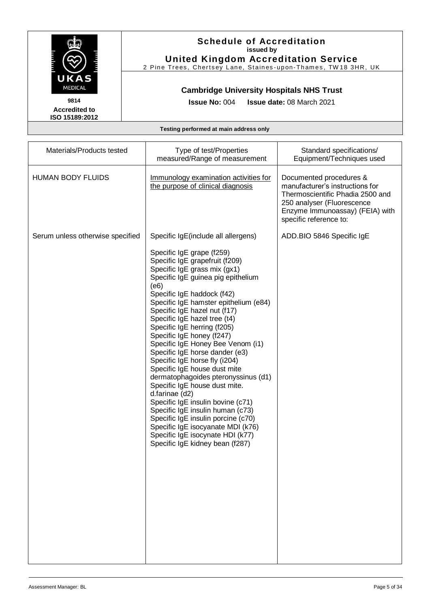

**United Kingdom Accreditation Service** 2 Pine Trees, Chertsey Lane, Staines-upon-Thames, TW18 3HR, UK

### **Cambridge University Hospitals NHS Trust**

**Issue No:** 004 **Issue date:** 08 March 2021

**Accredited to ISO 15189:2012** 

| Materials/Products tested        | Type of test/Properties<br>measured/Range of measurement                                                                                                                                                                                                                                                                                                                                                                                                                                                                                                                                                                                                                                                                                                                                                                                         | Standard specifications/<br>Equipment/Techniques used                                                                                                                                     |
|----------------------------------|--------------------------------------------------------------------------------------------------------------------------------------------------------------------------------------------------------------------------------------------------------------------------------------------------------------------------------------------------------------------------------------------------------------------------------------------------------------------------------------------------------------------------------------------------------------------------------------------------------------------------------------------------------------------------------------------------------------------------------------------------------------------------------------------------------------------------------------------------|-------------------------------------------------------------------------------------------------------------------------------------------------------------------------------------------|
| <b>HUMAN BODY FLUIDS</b>         | Immunology examination activities for<br>the purpose of clinical diagnosis                                                                                                                                                                                                                                                                                                                                                                                                                                                                                                                                                                                                                                                                                                                                                                       | Documented procedures &<br>manufacturer's instructions for<br>Thermoscientific Phadia 2500 and<br>250 analyser (Fluorescence<br>Enzyme Immunoassay) (FEIA) with<br>specific reference to: |
| Serum unless otherwise specified | Specific IgE(include all allergens)<br>Specific IgE grape (f259)<br>Specific IgE grapefruit (f209)<br>Specific IgE grass mix (gx1)<br>Specific IgE guinea pig epithelium<br>(e6)<br>Specific IgE haddock (f42)<br>Specific IgE hamster epithelium (e84)<br>Specific IgE hazel nut (f17)<br>Specific IgE hazel tree (t4)<br>Specific IgE herring (f205)<br>Specific IgE honey (f247)<br>Specific IgE Honey Bee Venom (i1)<br>Specific IgE horse dander (e3)<br>Specific IgE horse fly (i204)<br>Specific IgE house dust mite<br>dermatophagoides pteronyssinus (d1)<br>Specific IgE house dust mite.<br>d.farinae (d2)<br>Specific IgE insulin bovine (c71)<br>Specific IgE insulin human (c73)<br>Specific IgE insulin porcine (c70)<br>Specific IgE isocyanate MDI (k76)<br>Specific IgE isocynate HDI (k77)<br>Specific IgE kidney bean (f287) | ADD.BIO 5846 Specific IgE                                                                                                                                                                 |
|                                  |                                                                                                                                                                                                                                                                                                                                                                                                                                                                                                                                                                                                                                                                                                                                                                                                                                                  |                                                                                                                                                                                           |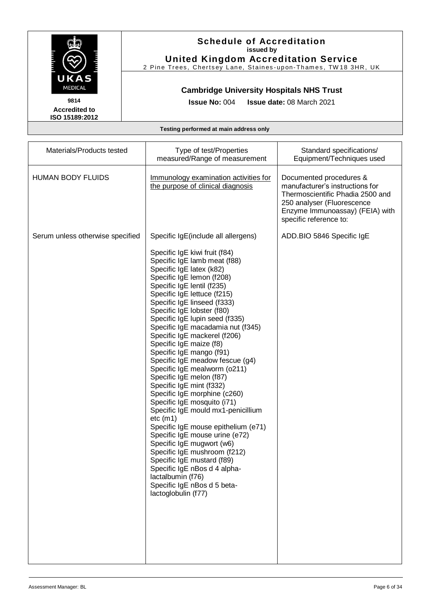

## **Schedule of Accreditation issued by**

**United Kingdom Accreditation Service** 2 Pine Trees, Chertsey Lane, Staines-upon-Thames, TW18 3HR, UK

### **Cambridge University Hospitals NHS Trust**

**Issue No:** 004 **Issue date:** 08 March 2021

| Materials/Products tested        | Type of test/Properties<br>measured/Range of measurement                                                                                                                                                                                                                                                                                                                                                                                                                                                                                                                                                                                                                                                                                                                                                                                                                                                                                  | Standard specifications/<br>Equipment/Techniques used                                                                                                                                     |
|----------------------------------|-------------------------------------------------------------------------------------------------------------------------------------------------------------------------------------------------------------------------------------------------------------------------------------------------------------------------------------------------------------------------------------------------------------------------------------------------------------------------------------------------------------------------------------------------------------------------------------------------------------------------------------------------------------------------------------------------------------------------------------------------------------------------------------------------------------------------------------------------------------------------------------------------------------------------------------------|-------------------------------------------------------------------------------------------------------------------------------------------------------------------------------------------|
| <b>HUMAN BODY FLUIDS</b>         | Immunology examination activities for<br>the purpose of clinical diagnosis                                                                                                                                                                                                                                                                                                                                                                                                                                                                                                                                                                                                                                                                                                                                                                                                                                                                | Documented procedures &<br>manufacturer's instructions for<br>Thermoscientific Phadia 2500 and<br>250 analyser (Fluorescence<br>Enzyme Immunoassay) (FEIA) with<br>specific reference to: |
| Serum unless otherwise specified | Specific IgE(include all allergens)                                                                                                                                                                                                                                                                                                                                                                                                                                                                                                                                                                                                                                                                                                                                                                                                                                                                                                       | ADD.BIO 5846 Specific IgE                                                                                                                                                                 |
|                                  | Specific IgE kiwi fruit (f84)<br>Specific IgE lamb meat (f88)<br>Specific IgE latex (k82)<br>Specific IgE lemon (f208)<br>Specific IgE lentil (f235)<br>Specific IgE lettuce (f215)<br>Specific IgE linseed (f333)<br>Specific IgE lobster (f80)<br>Specific IgE lupin seed (f335)<br>Specific IgE macadamia nut (f345)<br>Specific IgE mackerel (f206)<br>Specific IgE maize (f8)<br>Specific IgE mango (f91)<br>Specific IgE meadow fescue (g4)<br>Specific IgE mealworm (o211)<br>Specific IgE melon (f87)<br>Specific IgE mint (f332)<br>Specific IgE morphine (c260)<br>Specific IgE mosquito (i71)<br>Specific IgE mould mx1-penicillium<br>etc (m1)<br>Specific IgE mouse epithelium (e71)<br>Specific IgE mouse urine (e72)<br>Specific IgE mugwort (w6)<br>Specific IgE mushroom (f212)<br>Specific IgE mustard (f89)<br>Specific IgE nBos d 4 alpha-<br>lactalbumin (f76)<br>Specific IgE nBos d 5 beta-<br>lactoglobulin (f77) |                                                                                                                                                                                           |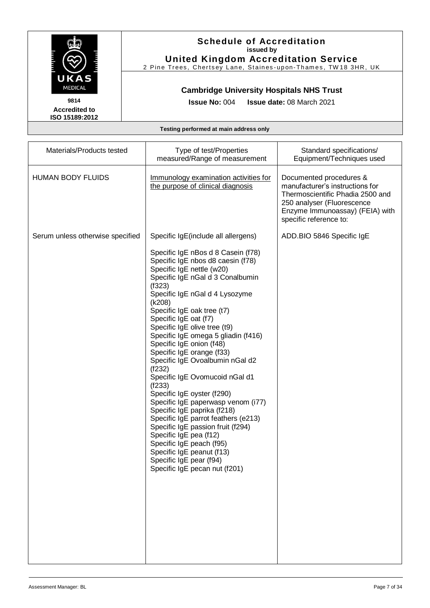

**United Kingdom Accreditation Service** 2 Pine Trees, Chertsey Lane, Staines-upon-Thames, TW18 3HR, UK

### **Cambridge University Hospitals NHS Trust**

**Issue No:** 004 **Issue date:** 08 March 2021

**Accredited to ISO 15189:2012** 

| Materials/Products tested        | Type of test/Properties<br>measured/Range of measurement                                                                                                                                                                                                                                                                                                                                                                                                                                                                                                                                                                                                                                                                                                                                                                                            | Standard specifications/<br>Equipment/Techniques used                                                                                                                                     |
|----------------------------------|-----------------------------------------------------------------------------------------------------------------------------------------------------------------------------------------------------------------------------------------------------------------------------------------------------------------------------------------------------------------------------------------------------------------------------------------------------------------------------------------------------------------------------------------------------------------------------------------------------------------------------------------------------------------------------------------------------------------------------------------------------------------------------------------------------------------------------------------------------|-------------------------------------------------------------------------------------------------------------------------------------------------------------------------------------------|
| <b>HUMAN BODY FLUIDS</b>         | Immunology examination activities for<br>the purpose of clinical diagnosis                                                                                                                                                                                                                                                                                                                                                                                                                                                                                                                                                                                                                                                                                                                                                                          | Documented procedures &<br>manufacturer's instructions for<br>Thermoscientific Phadia 2500 and<br>250 analyser (Fluorescence<br>Enzyme Immunoassay) (FEIA) with<br>specific reference to: |
| Serum unless otherwise specified | Specific IgE(include all allergens)<br>Specific IgE nBos d 8 Casein (f78)<br>Specific IgE nbos d8 caesin (f78)<br>Specific IgE nettle (w20)<br>Specific IgE nGal d 3 Conalbumin<br>(f323)<br>Specific IgE nGal d 4 Lysozyme<br>(k208)<br>Specific IgE oak tree (t7)<br>Specific IgE oat (f7)<br>Specific IgE olive tree (t9)<br>Specific IgE omega 5 gliadin (f416)<br>Specific IgE onion (f48)<br>Specific IgE orange (f33)<br>Specific IgE Ovoalbumin nGal d2<br>(f232)<br>Specific IgE Ovomucoid nGal d1<br>(f233)<br>Specific IgE oyster (f290)<br>Specific IgE paperwasp venom (i77)<br>Specific IgE paprika (f218)<br>Specific IgE parrot feathers (e213)<br>Specific IgE passion fruit (f294)<br>Specific IgE pea (f12)<br>Specific IgE peach (f95)<br>Specific IgE peanut (f13)<br>Specific IgE pear (f94)<br>Specific IgE pecan nut (f201) | ADD.BIO 5846 Specific IgE                                                                                                                                                                 |
|                                  |                                                                                                                                                                                                                                                                                                                                                                                                                                                                                                                                                                                                                                                                                                                                                                                                                                                     |                                                                                                                                                                                           |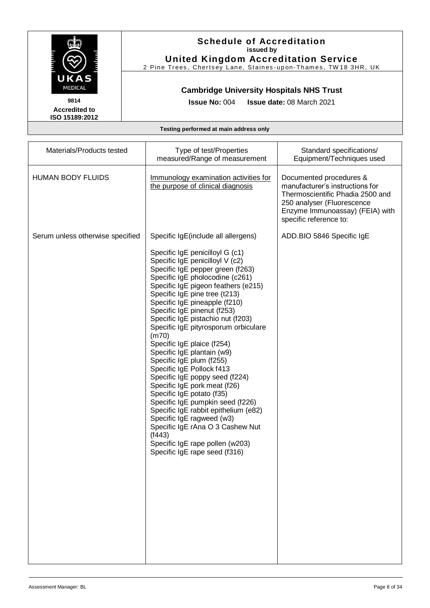

**United Kingdom Accreditation Service** 2 Pine Trees, Chertsey Lane, Staines-upon-Thames, TW18 3HR, UK

### **Cambridge University Hospitals NHS Trust**

**Issue No:** 004 **Issue date:** 08 March 2021

**Accredited to ISO 15189:2012** 

| Materials/Products tested        | Type of test/Properties<br>measured/Range of measurement                                                                                                                                                                                                                                                                                                                                                                                                                                                                                                                                                                                                                                                                                                                                                                                                      | Standard specifications/<br>Equipment/Techniques used                                                                                                                                     |
|----------------------------------|---------------------------------------------------------------------------------------------------------------------------------------------------------------------------------------------------------------------------------------------------------------------------------------------------------------------------------------------------------------------------------------------------------------------------------------------------------------------------------------------------------------------------------------------------------------------------------------------------------------------------------------------------------------------------------------------------------------------------------------------------------------------------------------------------------------------------------------------------------------|-------------------------------------------------------------------------------------------------------------------------------------------------------------------------------------------|
| <b>HUMAN BODY FLUIDS</b>         | Immunology examination activities for<br>the purpose of clinical diagnosis                                                                                                                                                                                                                                                                                                                                                                                                                                                                                                                                                                                                                                                                                                                                                                                    | Documented procedures &<br>manufacturer's instructions for<br>Thermoscientific Phadia 2500 and<br>250 analyser (Fluorescence<br>Enzyme Immunoassay) (FEIA) with<br>specific reference to: |
| Serum unless otherwise specified | Specific IgE(include all allergens)<br>Specific IgE penicilloyl G (c1)<br>Specific IgE penicilloyl V (c2)<br>Specific IgE pepper green (f263)<br>Specific IgE pholocodine (c261)<br>Specific IgE pigeon feathers (e215)<br>Specific IgE pine tree (t213)<br>Specific IgE pineapple (f210)<br>Specific IgE pinenut (f253)<br>Specific IgE pistachio nut (f203)<br>Specific IgE pityrosporum orbiculare<br>(m70)<br>Specific IgE plaice (f254)<br>Specific IgE plantain (w9)<br>Specific IgE plum (f255)<br>Specific IgE Pollock f413<br>Specific IgE poppy seed (f224)<br>Specific IgE pork meat (f26)<br>Specific IgE potato (f35)<br>Specific IgE pumpkin seed (f226)<br>Specific IgE rabbit epithelium (e82)<br>Specific IgE ragweed (w3)<br>Specific IgE rAna O 3 Cashew Nut<br>(1443)<br>Specific IgE rape pollen (w203)<br>Specific IgE rape seed (f316) | ADD.BIO 5846 Specific IgE                                                                                                                                                                 |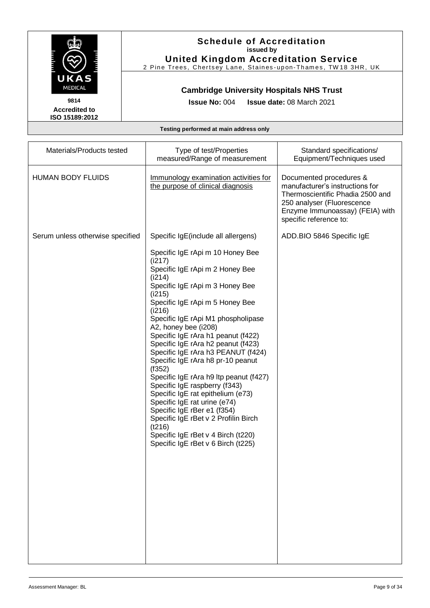

**United Kingdom Accreditation Service** 2 Pine Trees, Chertsey Lane, Staines-upon-Thames, TW18 3HR, UK

### **Cambridge University Hospitals NHS Trust**

**Issue No:** 004 **Issue date:** 08 March 2021

**Accredited to ISO 15189:2012** 

| Materials/Products tested        | Type of test/Properties<br>measured/Range of measurement                                                                                                                                                                                                                                                                                                                                                                                                                                                                                                                                                                                                                                                                                                             | Standard specifications/<br>Equipment/Techniques used                                                                                                                                     |
|----------------------------------|----------------------------------------------------------------------------------------------------------------------------------------------------------------------------------------------------------------------------------------------------------------------------------------------------------------------------------------------------------------------------------------------------------------------------------------------------------------------------------------------------------------------------------------------------------------------------------------------------------------------------------------------------------------------------------------------------------------------------------------------------------------------|-------------------------------------------------------------------------------------------------------------------------------------------------------------------------------------------|
| <b>HUMAN BODY FLUIDS</b>         | Immunology examination activities for<br>the purpose of clinical diagnosis                                                                                                                                                                                                                                                                                                                                                                                                                                                                                                                                                                                                                                                                                           | Documented procedures &<br>manufacturer's instructions for<br>Thermoscientific Phadia 2500 and<br>250 analyser (Fluorescence<br>Enzyme Immunoassay) (FEIA) with<br>specific reference to: |
| Serum unless otherwise specified | Specific IgE(include all allergens)<br>Specific IgE rApi m 10 Honey Bee<br>(i217)<br>Specific IgE rApi m 2 Honey Bee<br>(i214)<br>Specific IgE rApi m 3 Honey Bee<br>(i215)<br>Specific IgE rApi m 5 Honey Bee<br>(i216)<br>Specific IgE rApi M1 phospholipase<br>A2, honey bee (i208)<br>Specific IgE rAra h1 peanut (f422)<br>Specific IgE rAra h2 peanut (f423)<br>Specific IgE rAra h3 PEANUT (f424)<br>Specific IgE rAra h8 pr-10 peanut<br>(1352)<br>Specific IgE rAra h9 Itp peanut (f427)<br>Specific IgE raspberry (f343)<br>Specific IgE rat epithelium (e73)<br>Specific IgE rat urine (e74)<br>Specific IgE rBer e1 (f354)<br>Specific IgE rBet v 2 Profilin Birch<br>(t216)<br>Specific IgE rBet v 4 Birch (t220)<br>Specific IgE rBet v 6 Birch (t225) | ADD.BIO 5846 Specific IgE                                                                                                                                                                 |
|                                  |                                                                                                                                                                                                                                                                                                                                                                                                                                                                                                                                                                                                                                                                                                                                                                      |                                                                                                                                                                                           |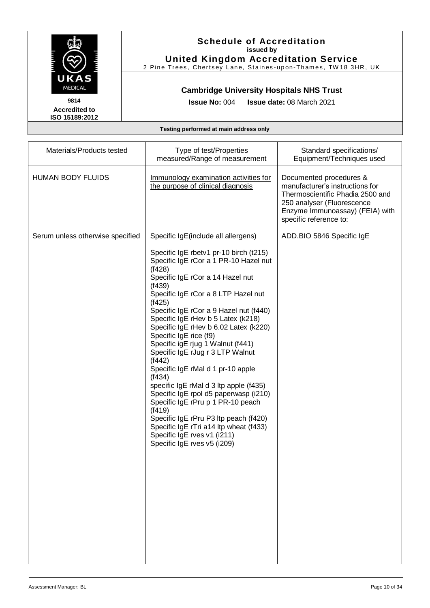

**United Kingdom Accreditation Service** 2 Pine Trees, Chertsey Lane, Staines-upon-Thames, TW18 3HR, UK

### **Cambridge University Hospitals NHS Trust**

**Issue No:** 004 **Issue date:** 08 March 2021

**Accredited to ISO 15189:2012** 

| Materials/Products tested        | Type of test/Properties<br>measured/Range of measurement                                                                                                                                                                                                                                                                                                                                                                                                                                                                                                                                                                                                                                                                                                                                                | Standard specifications/<br>Equipment/Techniques used                                                                                                                                     |
|----------------------------------|---------------------------------------------------------------------------------------------------------------------------------------------------------------------------------------------------------------------------------------------------------------------------------------------------------------------------------------------------------------------------------------------------------------------------------------------------------------------------------------------------------------------------------------------------------------------------------------------------------------------------------------------------------------------------------------------------------------------------------------------------------------------------------------------------------|-------------------------------------------------------------------------------------------------------------------------------------------------------------------------------------------|
| <b>HUMAN BODY FLUIDS</b>         | Immunology examination activities for<br>the purpose of clinical diagnosis                                                                                                                                                                                                                                                                                                                                                                                                                                                                                                                                                                                                                                                                                                                              | Documented procedures &<br>manufacturer's instructions for<br>Thermoscientific Phadia 2500 and<br>250 analyser (Fluorescence<br>Enzyme Immunoassay) (FEIA) with<br>specific reference to: |
| Serum unless otherwise specified | Specific IgE(include all allergens)<br>Specific IgE rbetv1 pr-10 birch (t215)<br>Specific IgE rCor a 1 PR-10 Hazel nut<br>(1428)<br>Specific IgE rCor a 14 Hazel nut<br>(f439)<br>Specific IgE rCor a 8 LTP Hazel nut<br>(1425)<br>Specific IgE rCor a 9 Hazel nut (f440)<br>Specific IgE rHev b 5 Latex (k218)<br>Specific IgE rHev b 6.02 Latex (k220)<br>Specific IgE rice (f9)<br>Specific igE rjug 1 Walnut (f441)<br>Specific IgE rJug r 3 LTP Walnut<br>(1442)<br>Specific IgE rMal d 1 pr-10 apple<br>(1434)<br>specific IgE rMal d 3 ltp apple (f435)<br>Specific IgE rpol d5 paperwasp (i210)<br>Specific IgE rPru p 1 PR-10 peach<br>(1419)<br>Specific IgE rPru P3 Itp peach (f420)<br>Specific IgE rTri a14 Itp wheat (f433)<br>Specific IgE rves v1 (i211)<br>Specific IgE rves v5 (i209) | ADD.BIO 5846 Specific IgE                                                                                                                                                                 |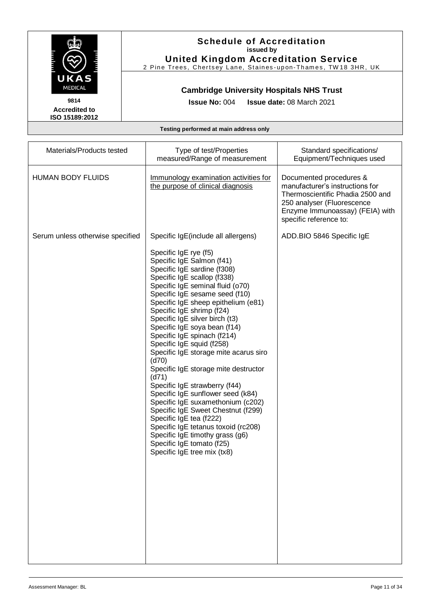

## **Schedule of Accreditation issued by**

**United Kingdom Accreditation Service** 2 Pine Trees, Chertsey Lane, Staines-upon-Thames, TW18 3HR, UK

### **Cambridge University Hospitals NHS Trust**

**Issue No:** 004 **Issue date:** 08 March 2021

| Materials/Products tested        | Type of test/Properties<br>measured/Range of measurement                                                                                                                                                                                                                                                                                                                                                                                                                                                                                                                                                                                                                                                                                                                                                                                             | Standard specifications/<br>Equipment/Techniques used                                                                                                                                     |
|----------------------------------|------------------------------------------------------------------------------------------------------------------------------------------------------------------------------------------------------------------------------------------------------------------------------------------------------------------------------------------------------------------------------------------------------------------------------------------------------------------------------------------------------------------------------------------------------------------------------------------------------------------------------------------------------------------------------------------------------------------------------------------------------------------------------------------------------------------------------------------------------|-------------------------------------------------------------------------------------------------------------------------------------------------------------------------------------------|
| <b>HUMAN BODY FLUIDS</b>         | Immunology examination activities for<br>the purpose of clinical diagnosis                                                                                                                                                                                                                                                                                                                                                                                                                                                                                                                                                                                                                                                                                                                                                                           | Documented procedures &<br>manufacturer's instructions for<br>Thermoscientific Phadia 2500 and<br>250 analyser (Fluorescence<br>Enzyme Immunoassay) (FEIA) with<br>specific reference to: |
| Serum unless otherwise specified | Specific IgE(include all allergens)<br>Specific IgE rye (f5)<br>Specific IgE Salmon (f41)<br>Specific IgE sardine (f308)<br>Specific IgE scallop (f338)<br>Specific IgE seminal fluid (o70)<br>Specific IgE sesame seed (f10)<br>Specific IgE sheep epithelium (e81)<br>Specific IgE shrimp (f24)<br>Specific IgE silver birch (t3)<br>Specific IgE soya bean (f14)<br>Specific IgE spinach (f214)<br>Specific IgE squid (f258)<br>Specific IgE storage mite acarus siro<br>(d70)<br>Specific IgE storage mite destructor<br>(d71)<br>Specific IgE strawberry (f44)<br>Specific IgE sunflower seed (k84)<br>Specific IgE suxamethonium (c202)<br>Specific IgE Sweet Chestnut (f299)<br>Specific IgE tea (f222)<br>Specific IgE tetanus toxoid (rc208)<br>Specific IgE timothy grass (g6)<br>Specific IgE tomato (f25)<br>Specific IgE tree mix (tx8) | ADD.BIO 5846 Specific IgE                                                                                                                                                                 |
|                                  |                                                                                                                                                                                                                                                                                                                                                                                                                                                                                                                                                                                                                                                                                                                                                                                                                                                      |                                                                                                                                                                                           |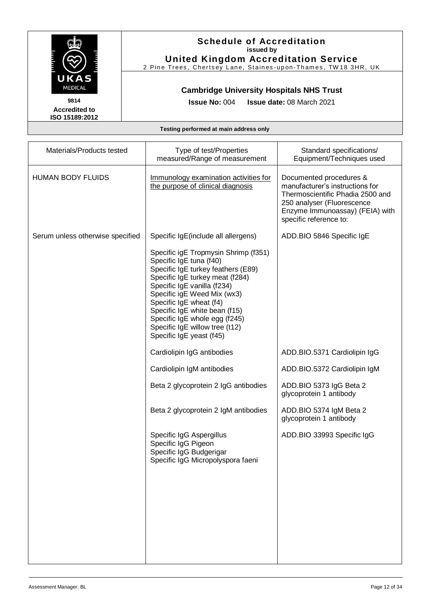

## **Schedule of Accreditation issued by**

**United Kingdom Accreditation Service** 2 Pine Trees, Chertsey Lane, Staines-upon-Thames, TW18 3HR, UK

### **Cambridge University Hospitals NHS Trust**

**Issue No:** 004 **Issue date:** 08 March 2021

| Materials/Products tested        | Type of test/Properties<br>measured/Range of measurement                                                                                                                                                                                                                                                                                                          | Standard specifications/<br>Equipment/Techniques used                                                                                                                                     |
|----------------------------------|-------------------------------------------------------------------------------------------------------------------------------------------------------------------------------------------------------------------------------------------------------------------------------------------------------------------------------------------------------------------|-------------------------------------------------------------------------------------------------------------------------------------------------------------------------------------------|
| <b>HUMAN BODY FLUIDS</b>         | Immunology examination activities for<br>the purpose of clinical diagnosis                                                                                                                                                                                                                                                                                        | Documented procedures &<br>manufacturer's instructions for<br>Thermoscientific Phadia 2500 and<br>250 analyser (Fluorescence<br>Enzyme Immunoassay) (FEIA) with<br>specific reference to: |
| Serum unless otherwise specified | Specific IgE(include all allergens)                                                                                                                                                                                                                                                                                                                               | ADD.BIO 5846 Specific IgE                                                                                                                                                                 |
|                                  | Specific igE Tropmysin Shrimp (f351)<br>Specific IgE tuna (f40)<br>Specific IgE turkey feathers (E89)<br>Specific IgE turkey meat (f284)<br>Specific IgE vanilla (f234)<br>Specific igE Weed Mix (wx3)<br>Specific IgE wheat (f4)<br>Specific IgE white bean (f15)<br>Specific IgE whole egg (f245)<br>Specific IgE willow tree (t12)<br>Specific IgE yeast (f45) |                                                                                                                                                                                           |
|                                  | Cardiolipin IgG antibodies                                                                                                                                                                                                                                                                                                                                        | ADD.BIO.5371 Cardiolipin IgG                                                                                                                                                              |
|                                  | Cardiolipin IgM antibodies                                                                                                                                                                                                                                                                                                                                        | ADD.BIO.5372 Cardiolipin IgM                                                                                                                                                              |
|                                  | Beta 2 glycoprotein 2 IgG antibodies                                                                                                                                                                                                                                                                                                                              | ADD.BIO 5373 IgG Beta 2<br>glycoprotein 1 antibody                                                                                                                                        |
|                                  | Beta 2 glycoprotein 2 IgM antibodies                                                                                                                                                                                                                                                                                                                              | ADD.BIO 5374 IgM Beta 2<br>glycoprotein 1 antibody                                                                                                                                        |
|                                  | Specific IgG Aspergillus<br>Specific IgG Pigeon<br>Specific IgG Budgerigar<br>Specific IgG Micropolyspora faeni                                                                                                                                                                                                                                                   | ADD.BIO 33993 Specific IgG                                                                                                                                                                |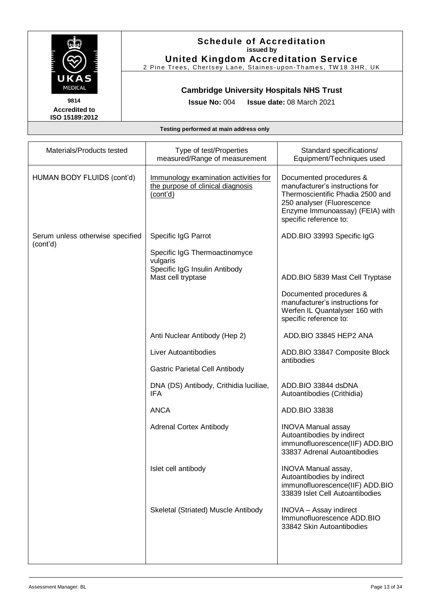

## **Schedule of Accreditation issued by**

**United Kingdom Accreditation Service** 2 Pine Trees, Chertsey Lane, Staines-upon-Thames, TW18 3HR, UK

### **Cambridge University Hospitals NHS Trust**

**Issue No:** 004 **Issue date:** 08 March 2021

| Materials/Products tested                    | Type of test/Properties<br>measured/Range of measurement                                         | Standard specifications/<br>Equipment/Techniques used                                                                                                                                     |
|----------------------------------------------|--------------------------------------------------------------------------------------------------|-------------------------------------------------------------------------------------------------------------------------------------------------------------------------------------------|
| HUMAN BODY FLUIDS (cont'd)                   | Immunology examination activities for<br>the purpose of clinical diagnosis<br>(cont'd)           | Documented procedures &<br>manufacturer's instructions for<br>Thermoscientific Phadia 2500 and<br>250 analyser (Fluorescence<br>Enzyme Immunoassay) (FEIA) with<br>specific reference to: |
| Serum unless otherwise specified<br>(cont'd) | Specific IgG Parrot                                                                              | ADD.BIO 33993 Specific IgG                                                                                                                                                                |
|                                              | Specific IgG Thermoactinomyce<br>vulgaris<br>Specific IgG Insulin Antibody<br>Mast cell tryptase | ADD.BIO 5839 Mast Cell Tryptase                                                                                                                                                           |
|                                              |                                                                                                  | Documented procedures &<br>manufacturer's instructions for<br>Werfen IL Quantalyser 160 with<br>specific reference to:                                                                    |
|                                              | Anti Nuclear Antibody (Hep 2)                                                                    | ADD.BIO 33845 HEP2 ANA                                                                                                                                                                    |
|                                              | Liver Autoantibodies                                                                             | ADD.BIO 33847 Composite Block<br>antibodies                                                                                                                                               |
|                                              | Gastric Parietal Cell Antibody                                                                   |                                                                                                                                                                                           |
|                                              | DNA (DS) Antibody, Crithidia luciliae,<br><b>IFA</b>                                             | ADD.BIO 33844 dsDNA<br>Autoantibodies (Crithidia)                                                                                                                                         |
|                                              | <b>ANCA</b>                                                                                      | ADD.BIO 33838                                                                                                                                                                             |
|                                              | <b>Adrenal Cortex Antibody</b>                                                                   | <b>INOVA Manual assay</b><br>Autoantibodies by indirect<br>immunofluorescence(IIF) ADD.BIO<br>33837 Adrenal Autoantibodies                                                                |
|                                              | Islet cell antibody                                                                              | INOVA Manual assay,<br>Autoantibodies by indirect<br>immunofluorescence(IIF) ADD.BIO<br>33839 Islet Cell Autoantibodies                                                                   |
|                                              | Skeletal (Striated) Muscle Antibody                                                              | <b>INOVA</b> - Assay indirect<br>Immunofluorescence ADD.BIO<br>33842 Skin Autoantibodies                                                                                                  |
|                                              |                                                                                                  |                                                                                                                                                                                           |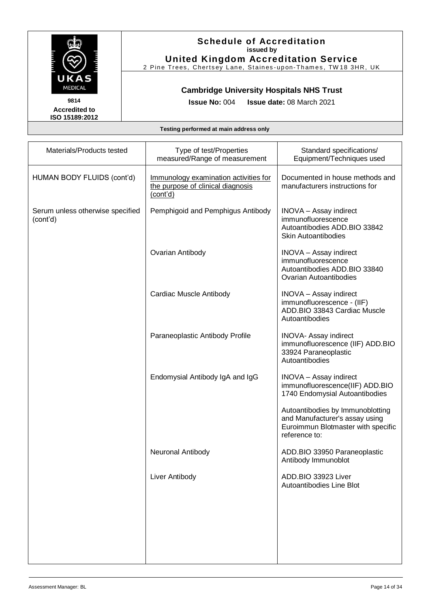

**United Kingdom Accreditation Service** 2 Pine Trees, Chertsey Lane, Staines-upon-Thames, TW18 3HR, UK

### **Cambridge University Hospitals NHS Trust**

**Accredited to ISO 15189:2012**  **Issue No:** 004 **Issue date:** 08 March 2021

| Materials/Products tested                    | Type of test/Properties<br>measured/Range of measurement                               | Standard specifications/<br>Equipment/Techniques used                                                                     |
|----------------------------------------------|----------------------------------------------------------------------------------------|---------------------------------------------------------------------------------------------------------------------------|
| HUMAN BODY FLUIDS (cont'd)                   | Immunology examination activities for<br>the purpose of clinical diagnosis<br>(cont'd) | Documented in house methods and<br>manufacturers instructions for                                                         |
| Serum unless otherwise specified<br>(cont'd) | Pemphigoid and Pemphigus Antibody                                                      | <b>INOVA</b> - Assay indirect<br>immunofluorescence<br>Autoantibodies ADD.BIO 33842<br><b>Skin Autoantibodies</b>         |
|                                              | Ovarian Antibody                                                                       | INOVA - Assay indirect<br>immunofluorescence<br>Autoantibodies ADD.BIO 33840<br><b>Ovarian Autoantibodies</b>             |
|                                              | Cardiac Muscle Antibody                                                                | <b>INOVA</b> - Assay indirect<br>immunofluorescence - (IIF)<br>ADD.BIO 33843 Cardiac Muscle<br>Autoantibodies             |
|                                              | Paraneoplastic Antibody Profile                                                        | <b>INOVA- Assay indirect</b><br>immunofluorescence (IIF) ADD.BIO<br>33924 Paraneoplastic<br>Autoantibodies                |
|                                              | Endomysial Antibody IgA and IgG                                                        | <b>INOVA</b> - Assay indirect<br>immunofluorescence(IIF) ADD.BIO<br>1740 Endomysial Autoantibodies                        |
|                                              |                                                                                        | Autoantibodies by Immunoblotting<br>and Manufacturer's assay using<br>Euroimmun Blotmaster with specific<br>reference to: |
|                                              | Neuronal Antibody                                                                      | ADD.BIO 33950 Paraneoplastic<br>Antibody Immunoblot                                                                       |
|                                              | Liver Antibody                                                                         | ADD.BIO 33923 Liver<br>Autoantibodies Line Blot                                                                           |
|                                              |                                                                                        |                                                                                                                           |
|                                              |                                                                                        |                                                                                                                           |
|                                              |                                                                                        |                                                                                                                           |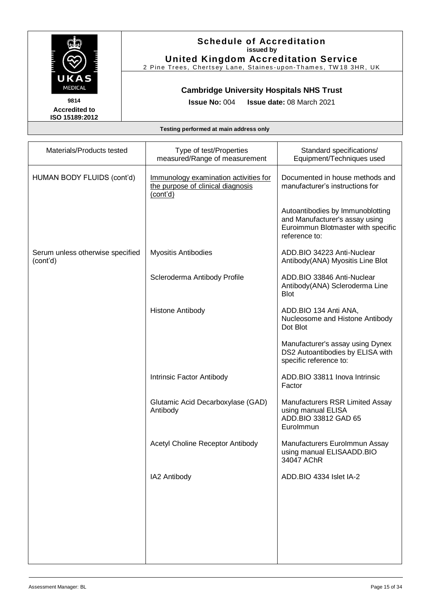

## **Schedule of Accreditation issued by**

**United Kingdom Accreditation Service** 2 Pine Trees, Chertsey Lane, Staines-upon-Thames, TW18 3HR, UK

## **Cambridge University Hospitals NHS Trust**

**Issue No:** 004 **Issue date:** 08 March 2021

| Materials/Products tested                    | Type of test/Properties<br>measured/Range of measurement                               | Standard specifications/<br>Equipment/Techniques used                                                                     |
|----------------------------------------------|----------------------------------------------------------------------------------------|---------------------------------------------------------------------------------------------------------------------------|
| HUMAN BODY FLUIDS (cont'd)                   | Immunology examination activities for<br>the purpose of clinical diagnosis<br>(cont'd) | Documented in house methods and<br>manufacturer's instructions for                                                        |
|                                              |                                                                                        | Autoantibodies by Immunoblotting<br>and Manufacturer's assay using<br>Euroimmun Blotmaster with specific<br>reference to: |
| Serum unless otherwise specified<br>(cont'd) | <b>Myositis Antibodies</b>                                                             | ADD.BIO 34223 Anti-Nuclear<br>Antibody(ANA) Myositis Line Blot                                                            |
|                                              | Scleroderma Antibody Profile                                                           | ADD.BIO 33846 Anti-Nuclear<br>Antibody(ANA) Scleroderma Line<br><b>Blot</b>                                               |
|                                              | <b>Histone Antibody</b>                                                                | ADD.BIO 134 Anti ANA,<br>Nucleosome and Histone Antibody<br>Dot Blot                                                      |
|                                              |                                                                                        | Manufacturer's assay using Dynex<br>DS2 Autoantibodies by ELISA with<br>specific reference to:                            |
|                                              | Intrinsic Factor Antibody                                                              | ADD.BIO 33811 Inova Intrinsic<br>Factor                                                                                   |
|                                              | Glutamic Acid Decarboxylase (GAD)<br>Antibody                                          | Manufacturers RSR Limited Assay<br>using manual ELISA<br>ADD.BIO 33812 GAD 65<br>Eurolmmun                                |
|                                              | Acetyl Choline Receptor Antibody                                                       | Manufacturers Eurolmmun Assay<br>using manual ELISAADD.BIO<br>34047 AChR                                                  |
|                                              | IA2 Antibody                                                                           | ADD.BIO 4334 Islet IA-2                                                                                                   |
|                                              |                                                                                        |                                                                                                                           |
|                                              |                                                                                        |                                                                                                                           |
|                                              |                                                                                        |                                                                                                                           |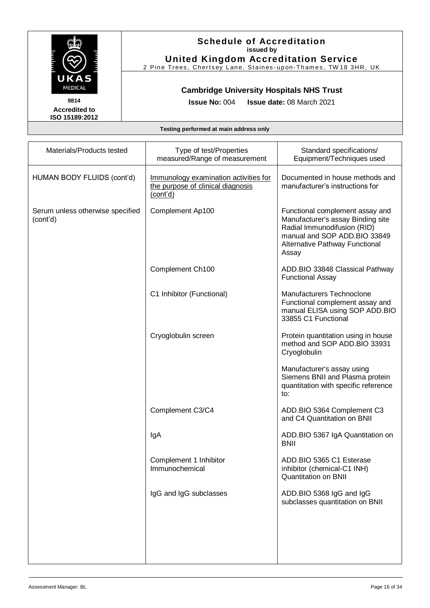

**United Kingdom Accreditation Service** 2 Pine Trees, Chertsey Lane, Staines-upon-Thames, TW18 3HR, UK

### **Cambridge University Hospitals NHS Trust**

**Accredited to ISO 15189:2012**  **Issue No:** 004 **Issue date:** 08 March 2021

| Materials/Products tested                    | Type of test/Properties<br>measured/Range of measurement                               | Standard specifications/<br>Equipment/Techniques used                                                                                                                          |
|----------------------------------------------|----------------------------------------------------------------------------------------|--------------------------------------------------------------------------------------------------------------------------------------------------------------------------------|
| HUMAN BODY FLUIDS (cont'd)                   | Immunology examination activities for<br>the purpose of clinical diagnosis<br>(cont'd) | Documented in house methods and<br>manufacturer's instructions for                                                                                                             |
| Serum unless otherwise specified<br>(cont'd) | Complement Ap100                                                                       | Functional complement assay and<br>Manufacturer's assay Binding site<br>Radial Immunodifusion (RID)<br>manual and SOP ADD.BIO 33849<br>Alternative Pathway Functional<br>Assay |
|                                              | Complement Ch100                                                                       | ADD.BIO 33848 Classical Pathway<br><b>Functional Assay</b>                                                                                                                     |
|                                              | C1 Inhibitor (Functional)                                                              | <b>Manufacturers Technoclone</b><br>Functional complement assay and<br>manual ELISA using SOP ADD.BIO<br>33855 C1 Functional                                                   |
|                                              | Cryoglobulin screen                                                                    | Protein quantitation using in house<br>method and SOP ADD.BIO 33931<br>Cryoglobulin                                                                                            |
|                                              |                                                                                        | Manufacturer's assay using<br>Siemens BNII and Plasma protein<br>quantitation with specific reference<br>to:                                                                   |
|                                              | Complement C3/C4                                                                       | ADD.BIO 5364 Complement C3<br>and C4 Quantitation on BNII                                                                                                                      |
|                                              | IgA                                                                                    | ADD.BIO 5367 IgA Quantitation on<br><b>BNII</b>                                                                                                                                |
|                                              | Complement 1 Inhibitor<br>Immunochemical                                               | ADD.BIO 5365 C1 Esterase<br>inhibitor (chemical-C1 INH)<br><b>Quantitation on BNII</b>                                                                                         |
|                                              | IgG and IgG subclasses                                                                 | ADD.BIO 5368 IgG and IgG<br>subclasses quantitation on BNII                                                                                                                    |
|                                              |                                                                                        |                                                                                                                                                                                |
|                                              |                                                                                        |                                                                                                                                                                                |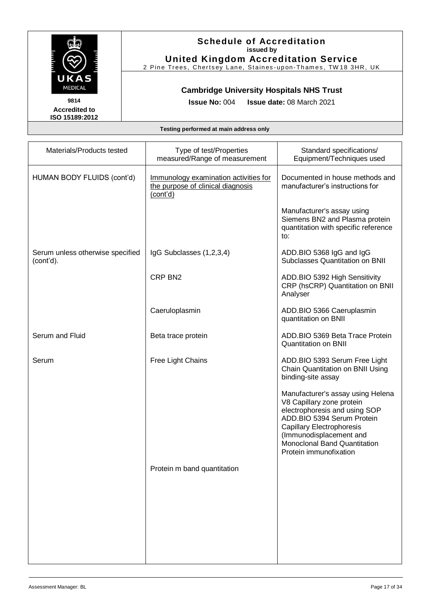

## **Schedule of Accreditation issued by**

**United Kingdom Accreditation Service** 2 Pine Trees, Chertsey Lane, Staines-upon-Thames, TW18 3HR, UK

### **Cambridge University Hospitals NHS Trust**

**Issue No:** 004 **Issue date:** 08 March 2021

| Materials/Products tested                     | Type of test/Properties<br>measured/Range of measurement                               | Standard specifications/<br>Equipment/Techniques used                                                                                                                                                                                                  |
|-----------------------------------------------|----------------------------------------------------------------------------------------|--------------------------------------------------------------------------------------------------------------------------------------------------------------------------------------------------------------------------------------------------------|
| HUMAN BODY FLUIDS (cont'd)                    | Immunology examination activities for<br>the purpose of clinical diagnosis<br>(cont'd) | Documented in house methods and<br>manufacturer's instructions for                                                                                                                                                                                     |
|                                               |                                                                                        | Manufacturer's assay using<br>Siemens BN2 and Plasma protein<br>quantitation with specific reference<br>to:                                                                                                                                            |
| Serum unless otherwise specified<br>(cont'd). | IgG Subclasses (1,2,3,4)                                                               | ADD.BIO 5368 IgG and IgG<br>Subclasses Quantitation on BNII                                                                                                                                                                                            |
|                                               | CRP BN <sub>2</sub>                                                                    | ADD.BIO 5392 High Sensitivity<br>CRP (hsCRP) Quantitation on BNII<br>Analyser                                                                                                                                                                          |
|                                               | Caeruloplasmin                                                                         | ADD.BIO 5366 Caeruplasmin<br>quantitation on BNII                                                                                                                                                                                                      |
| Serum and Fluid                               | Beta trace protein                                                                     | ADD.BIO 5369 Beta Trace Protein<br><b>Quantitation on BNII</b>                                                                                                                                                                                         |
| Serum                                         | Free Light Chains                                                                      | ADD.BIO 5393 Serum Free Light<br>Chain Quantitation on BNII Using<br>binding-site assay                                                                                                                                                                |
|                                               |                                                                                        | Manufacturer's assay using Helena<br>V8 Capillary zone protein<br>electrophoresis and using SOP<br>ADD.BIO 5394 Serum Protein<br>Capillary Electrophoresis<br>(Immunodisplacement and<br><b>Monoclonal Band Quantitation</b><br>Protein immunofixation |
|                                               | Protein m band quantitation                                                            |                                                                                                                                                                                                                                                        |
|                                               |                                                                                        |                                                                                                                                                                                                                                                        |
|                                               |                                                                                        |                                                                                                                                                                                                                                                        |
|                                               |                                                                                        |                                                                                                                                                                                                                                                        |
|                                               |                                                                                        |                                                                                                                                                                                                                                                        |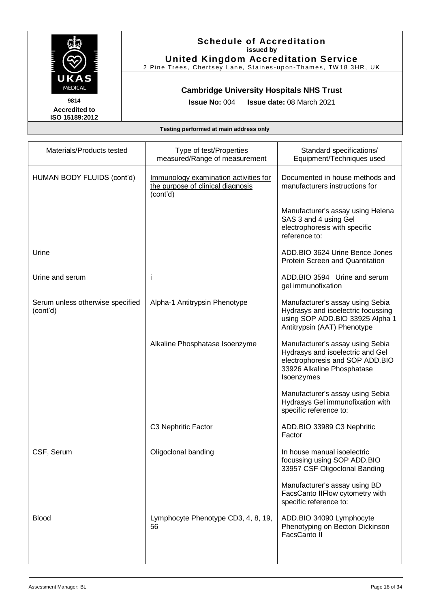

## **Schedule of Accreditation issued by**

**United Kingdom Accreditation Service** 2 Pine Trees, Chertsey Lane, Staines-upon-Thames, TW18 3HR, UK

### **Cambridge University Hospitals NHS Trust**

**Issue No:** 004 **Issue date:** 08 March 2021

| Materials/Products tested                    | Type of test/Properties<br>measured/Range of measurement                               | Standard specifications/<br>Equipment/Techniques used                                                                                               |
|----------------------------------------------|----------------------------------------------------------------------------------------|-----------------------------------------------------------------------------------------------------------------------------------------------------|
| HUMAN BODY FLUIDS (cont'd)                   | Immunology examination activities for<br>the purpose of clinical diagnosis<br>(cont'd) | Documented in house methods and<br>manufacturers instructions for                                                                                   |
|                                              |                                                                                        | Manufacturer's assay using Helena<br>SAS 3 and 4 using Gel<br>electrophoresis with specific<br>reference to:                                        |
| Urine                                        |                                                                                        | ADD.BIO 3624 Urine Bence Jones<br>Protein Screen and Quantitation                                                                                   |
| Urine and serum                              | j                                                                                      | ADD.BIO 3594 Urine and serum<br>gel immunofixation                                                                                                  |
| Serum unless otherwise specified<br>(cont'd) | Alpha-1 Antitrypsin Phenotype                                                          | Manufacturer's assay using Sebia<br>Hydrasys and isoelectric focussing<br>using SOP ADD.BIO 33925 Alpha 1<br>Antitrypsin (AAT) Phenotype            |
|                                              | Alkaline Phosphatase Isoenzyme                                                         | Manufacturer's assay using Sebia<br>Hydrasys and isoelectric and Gel<br>electrophoresis and SOP ADD.BIO<br>33926 Alkaline Phosphatase<br>Isoenzymes |
|                                              |                                                                                        | Manufacturer's assay using Sebia<br>Hydrasys Gel immunofixation with<br>specific reference to:                                                      |
|                                              | C3 Nephritic Factor                                                                    | ADD.BIO 33989 C3 Nephritic<br>Factor                                                                                                                |
| CSF, Serum                                   | Oligoclonal banding                                                                    | In house manual isoelectric<br>focussing using SOP ADD.BIO<br>33957 CSF Oligoclonal Banding                                                         |
|                                              |                                                                                        | Manufacturer's assay using BD<br>FacsCanto IIFlow cytometry with<br>specific reference to:                                                          |
| <b>Blood</b>                                 | Lymphocyte Phenotype CD3, 4, 8, 19,<br>56                                              | ADD.BIO 34090 Lymphocyte<br>Phenotyping on Becton Dickinson<br>FacsCanto II                                                                         |
|                                              |                                                                                        |                                                                                                                                                     |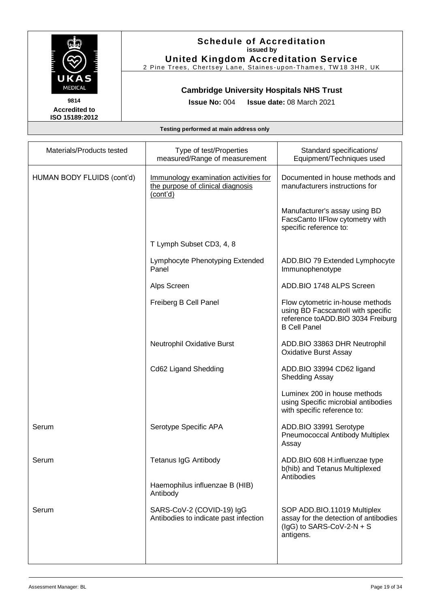

## **Schedule of Accreditation issued by**

**United Kingdom Accreditation Service** 2 Pine Trees, Chertsey Lane, Staines-upon-Thames, TW18 3HR, UK

### **Cambridge University Hospitals NHS Trust**

**Issue No:** 004 **Issue date:** 08 March 2021

| Materials/Products tested  | Type of test/Properties<br>measured/Range of measurement                               | Standard specifications/<br>Equipment/Techniques used                                                                              |
|----------------------------|----------------------------------------------------------------------------------------|------------------------------------------------------------------------------------------------------------------------------------|
| HUMAN BODY FLUIDS (cont'd) | Immunology examination activities for<br>the purpose of clinical diagnosis<br>(cont'd) | Documented in house methods and<br>manufacturers instructions for                                                                  |
|                            |                                                                                        | Manufacturer's assay using BD<br>FacsCanto IIFlow cytometry with<br>specific reference to:                                         |
|                            | T Lymph Subset CD3, 4, 8                                                               |                                                                                                                                    |
|                            | Lymphocyte Phenotyping Extended<br>Panel                                               | ADD.BIO 79 Extended Lymphocyte<br>Immunophenotype                                                                                  |
|                            | Alps Screen                                                                            | ADD.BIO 1748 ALPS Screen                                                                                                           |
|                            | Freiberg B Cell Panel                                                                  | Flow cytometric in-house methods<br>using BD Facscantoll with specific<br>reference toADD.BIO 3034 Freiburg<br><b>B Cell Panel</b> |
|                            | Neutrophil Oxidative Burst                                                             | ADD.BIO 33863 DHR Neutrophil<br><b>Oxidative Burst Assay</b>                                                                       |
|                            | Cd62 Ligand Shedding                                                                   | ADD.BIO 33994 CD62 ligand<br><b>Shedding Assay</b>                                                                                 |
|                            |                                                                                        | Luminex 200 in house methods<br>using Specific microbial antibodies<br>with specific reference to:                                 |
| Serum                      | Serotype Specific APA                                                                  | ADD.BIO 33991 Serotype<br>Pneumococcal Antibody Multiplex<br>Assay                                                                 |
| Serum                      | <b>Tetanus IgG Antibody</b>                                                            | ADD.BIO 608 H.influenzae type<br>b(hib) and Tetanus Multiplexed<br>Antibodies                                                      |
|                            | Haemophilus influenzae B (HIB)<br>Antibody                                             |                                                                                                                                    |
| Serum                      | SARS-CoV-2 (COVID-19) IgG<br>Antibodies to indicate past infection                     | SOP ADD.BIO.11019 Multiplex<br>assay for the detection of antibodies<br>(IgG) to SARS-CoV-2-N + S<br>antigens.                     |
|                            |                                                                                        |                                                                                                                                    |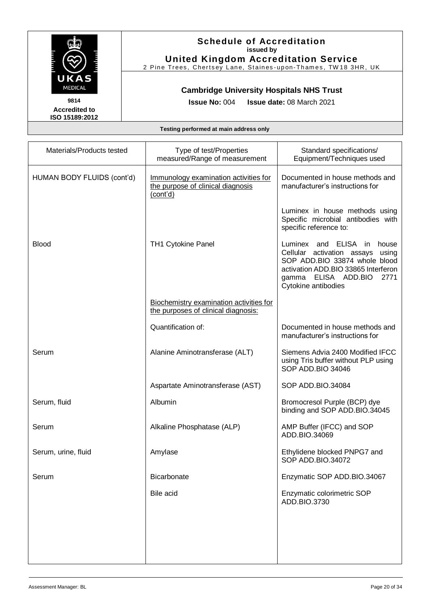

## **Schedule of Accreditation issued by**

**United Kingdom Accreditation Service** 2 Pine Trees, Chertsey Lane, Staines-upon-Thames, TW18 3HR, UK

## **Cambridge University Hospitals NHS Trust**

**Issue No:** 004 **Issue date:** 08 March 2021

| Materials/Products tested  | Type of test/Properties<br>measured/Range of measurement                               | Standard specifications/<br>Equipment/Techniques used                                                                                                                                                  |
|----------------------------|----------------------------------------------------------------------------------------|--------------------------------------------------------------------------------------------------------------------------------------------------------------------------------------------------------|
| HUMAN BODY FLUIDS (cont'd) | Immunology examination activities for<br>the purpose of clinical diagnosis<br>(cont'd) | Documented in house methods and<br>manufacturer's instructions for                                                                                                                                     |
|                            |                                                                                        | Luminex in house methods using<br>Specific microbial antibodies with<br>specific reference to:                                                                                                         |
| <b>Blood</b>               | <b>TH1 Cytokine Panel</b>                                                              | Luminex and ELISA<br>in.<br>house<br>Cellular activation assays<br>using<br>SOP ADD.BIO 33874 whole blood<br>activation ADD.BIO 33865 Interferon<br>gamma ELISA ADD.BIO<br>2771<br>Cytokine antibodies |
|                            | Biochemistry examination activities for<br>the purposes of clinical diagnosis:         |                                                                                                                                                                                                        |
|                            | Quantification of:                                                                     | Documented in house methods and<br>manufacturer's instructions for                                                                                                                                     |
| Serum                      | Alanine Aminotransferase (ALT)                                                         | Siemens Advia 2400 Modified IFCC<br>using Tris buffer without PLP using<br>SOP ADD.BIO 34046                                                                                                           |
|                            | Aspartate Aminotransferase (AST)                                                       | SOP ADD.BIO.34084                                                                                                                                                                                      |
| Serum, fluid               | Albumin                                                                                | Bromocresol Purple (BCP) dye<br>binding and SOP ADD.BIO.34045                                                                                                                                          |
| Serum                      | Alkaline Phosphatase (ALP)                                                             | AMP Buffer (IFCC) and SOP<br>ADD.BIO.34069                                                                                                                                                             |
| Serum, urine, fluid        | Amylase                                                                                | Ethylidene blocked PNPG7 and<br>SOP ADD.BIO.34072                                                                                                                                                      |
| Serum                      | Bicarbonate                                                                            | Enzymatic SOP ADD.BIO.34067                                                                                                                                                                            |
|                            | Bile acid                                                                              | Enzymatic colorimetric SOP<br>ADD.BIO.3730                                                                                                                                                             |
|                            |                                                                                        |                                                                                                                                                                                                        |
|                            |                                                                                        |                                                                                                                                                                                                        |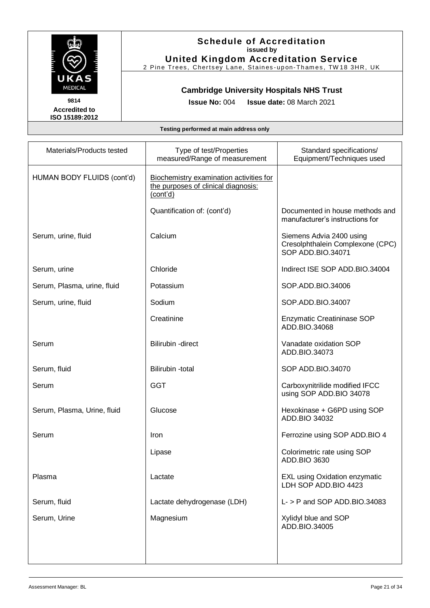

**United Kingdom Accreditation Service** 2 Pine Trees, Chertsey Lane, Staines-upon-Thames, TW18 3HR, UK

### **Cambridge University Hospitals NHS Trust**

**Accredited to ISO 15189:2012**  **Issue No:** 004 **Issue date:** 08 March 2021

| Materials/Products tested   | Type of test/Properties<br>measured/Range of measurement                                   | Standard specifications/<br>Equipment/Techniques used                             |
|-----------------------------|--------------------------------------------------------------------------------------------|-----------------------------------------------------------------------------------|
| HUMAN BODY FLUIDS (cont'd)  | Biochemistry examination activities for<br>the purposes of clinical diagnosis:<br>(cont'd) |                                                                                   |
|                             | Quantification of: (cont'd)                                                                | Documented in house methods and<br>manufacturer's instructions for                |
| Serum, urine, fluid         | Calcium                                                                                    | Siemens Advia 2400 using<br>Cresolphthalein Complexone (CPC)<br>SOP ADD.BIO.34071 |
| Serum, urine                | Chloride                                                                                   | Indirect ISE SOP ADD.BIO.34004                                                    |
| Serum, Plasma, urine, fluid | Potassium                                                                                  | SOP.ADD.BIO.34006                                                                 |
| Serum, urine, fluid         | Sodium                                                                                     | SOP.ADD.BIO.34007                                                                 |
|                             | Creatinine                                                                                 | <b>Enzymatic Creatininase SOP</b><br>ADD.BIO.34068                                |
| Serum                       | <b>Bilirubin -direct</b>                                                                   | Vanadate oxidation SOP<br>ADD.BIO.34073                                           |
| Serum, fluid                | Bilirubin -total                                                                           | SOP ADD.BIO.34070                                                                 |
| Serum                       | <b>GGT</b>                                                                                 | Carboxynitrilide modified IFCC<br>using SOP ADD.BIO 34078                         |
| Serum, Plasma, Urine, fluid | Glucose                                                                                    | Hexokinase + G6PD using SOP<br>ADD.BIO 34032                                      |
| Serum                       | Iron                                                                                       | Ferrozine using SOP ADD. BIO 4                                                    |
|                             | Lipase                                                                                     | Colorimetric rate using SOP<br>ADD.BIO 3630                                       |
| Plasma                      | Lactate                                                                                    | <b>EXL using Oxidation enzymatic</b><br>LDH SOP ADD.BIO 4423                      |
| Serum, fluid                | Lactate dehydrogenase (LDH)                                                                | $L -$ > P and SOP ADD.BIO.34083                                                   |
| Serum, Urine                | Magnesium                                                                                  | Xylidyl blue and SOP<br>ADD.BIO.34005                                             |
|                             |                                                                                            |                                                                                   |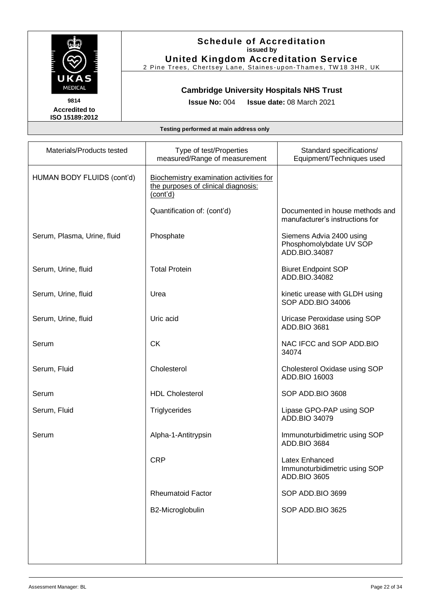

**United Kingdom Accreditation Service** 2 Pine Trees, Chertsey Lane, Staines-upon-Thames, TW18 3HR, UK

### **Cambridge University Hospitals NHS Trust**

**Accredited to ISO 15189:2012**  **Issue No:** 004 **Issue date:** 08 March 2021

| Materials/Products tested   | Type of test/Properties<br>measured/Range of measurement                                   | Standard specifications/<br>Equipment/Techniques used                |
|-----------------------------|--------------------------------------------------------------------------------------------|----------------------------------------------------------------------|
| HUMAN BODY FLUIDS (cont'd)  | Biochemistry examination activities for<br>the purposes of clinical diagnosis:<br>(cont'd) |                                                                      |
|                             | Quantification of: (cont'd)                                                                | Documented in house methods and<br>manufacturer's instructions for   |
| Serum, Plasma, Urine, fluid | Phosphate                                                                                  | Siemens Advia 2400 using<br>Phosphomolybdate UV SOP<br>ADD.BIO.34087 |
| Serum, Urine, fluid         | <b>Total Protein</b>                                                                       | <b>Biuret Endpoint SOP</b><br>ADD.BIO.34082                          |
| Serum, Urine, fluid         | Urea                                                                                       | kinetic urease with GLDH using<br>SOP ADD.BIO 34006                  |
| Serum, Urine, fluid         | Uric acid                                                                                  | Uricase Peroxidase using SOP<br>ADD.BIO 3681                         |
| Serum                       | <b>CK</b>                                                                                  | NAC IFCC and SOP ADD.BIO<br>34074                                    |
| Serum, Fluid                | Cholesterol                                                                                | Cholesterol Oxidase using SOP<br>ADD.BIO 16003                       |
| Serum                       | <b>HDL Cholesterol</b>                                                                     | SOP ADD.BIO 3608                                                     |
| Serum, Fluid                | Triglycerides                                                                              | Lipase GPO-PAP using SOP<br>ADD.BIO 34079                            |
| Serum                       | Alpha-1-Antitrypsin                                                                        | Immunoturbidimetric using SOP<br>ADD.BIO 3684                        |
|                             | <b>CRP</b>                                                                                 | Latex Enhanced<br>Immunoturbidimetric using SOP<br>ADD.BIO 3605      |
|                             | <b>Rheumatoid Factor</b>                                                                   | SOP ADD.BIO 3699                                                     |
|                             | B2-Microglobulin                                                                           | SOP ADD.BIO 3625                                                     |
|                             |                                                                                            |                                                                      |
|                             |                                                                                            |                                                                      |
|                             |                                                                                            |                                                                      |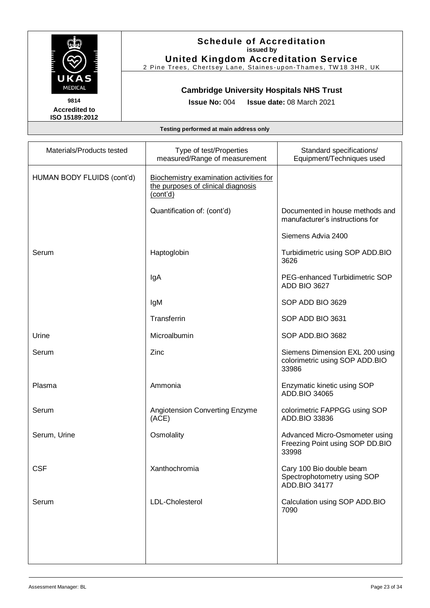

## **Schedule of Accreditation issued by**

**United Kingdom Accreditation Service** 2 Pine Trees, Chertsey Lane, Staines-upon-Thames, TW18 3HR, UK

### **Cambridge University Hospitals NHS Trust**

**Issue No:** 004 **Issue date:** 08 March 2021

| Materials/Products tested  | Type of test/Properties<br>measured/Range of measurement                                  | Standard specifications/<br>Equipment/Techniques used                      |
|----------------------------|-------------------------------------------------------------------------------------------|----------------------------------------------------------------------------|
| HUMAN BODY FLUIDS (cont'd) | Biochemistry examination activities for<br>the purposes of clinical diagnosis<br>(cont'd) |                                                                            |
|                            | Quantification of: (cont'd)                                                               | Documented in house methods and<br>manufacturer's instructions for         |
|                            |                                                                                           | Siemens Advia 2400                                                         |
| Serum                      | Haptoglobin                                                                               | Turbidimetric using SOP ADD.BIO<br>3626                                    |
|                            | IgA                                                                                       | PEG-enhanced Turbidimetric SOP<br>ADD BIO 3627                             |
|                            | IgM                                                                                       | SOP ADD BIO 3629                                                           |
|                            | Transferrin                                                                               | SOP ADD BIO 3631                                                           |
| Urine                      | Microalbumin                                                                              | SOP ADD.BIO 3682                                                           |
| Serum                      | Zinc                                                                                      | Siemens Dimension EXL 200 using<br>colorimetric using SOP ADD.BIO<br>33986 |
| Plasma                     | Ammonia                                                                                   | Enzymatic kinetic using SOP<br>ADD.BIO 34065                               |
| Serum                      | Angiotension Converting Enzyme<br>(ACE)                                                   | colorimetric FAPPGG using SOP<br>ADD.BIO 33836                             |
| Serum, Urine               | Osmolality                                                                                | Advanced Micro-Osmometer using<br>Freezing Point using SOP DD.BIO<br>33998 |
| <b>CSF</b>                 | Xanthochromia                                                                             | Cary 100 Bio double beam<br>Spectrophotometry using SOP<br>ADD.BIO 34177   |
| Serum                      | LDL-Cholesterol                                                                           | Calculation using SOP ADD.BIO<br>7090                                      |
|                            |                                                                                           |                                                                            |
|                            |                                                                                           |                                                                            |
|                            |                                                                                           |                                                                            |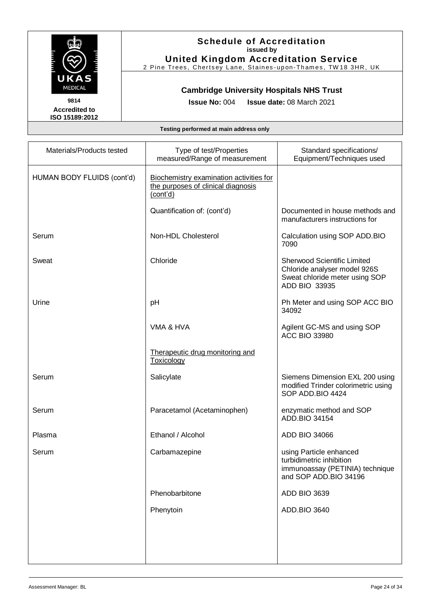

**United Kingdom Accreditation Service** 2 Pine Trees, Chertsey Lane, Staines-upon-Thames, TW18 3HR, UK

### **Cambridge University Hospitals NHS Trust**

**Accredited to ISO 15189:2012**  **Issue No:** 004 **Issue date:** 08 March 2021

| Materials/Products tested  | Type of test/Properties<br>measured/Range of measurement                                  | Standard specifications/<br>Equipment/Techniques used                                                                 |
|----------------------------|-------------------------------------------------------------------------------------------|-----------------------------------------------------------------------------------------------------------------------|
| HUMAN BODY FLUIDS (cont'd) | Biochemistry examination activities for<br>the purposes of clinical diagnosis<br>(cont'd) |                                                                                                                       |
|                            | Quantification of: (cont'd)                                                               | Documented in house methods and<br>manufacturers instructions for                                                     |
| Serum                      | Non-HDL Cholesterol                                                                       | Calculation using SOP ADD.BIO<br>7090                                                                                 |
| Sweat                      | Chloride                                                                                  | <b>Sherwood Scientific Limited</b><br>Chloride analyser model 926S<br>Sweat chloride meter using SOP<br>ADD BIO 33935 |
| Urine                      | pH                                                                                        | Ph Meter and using SOP ACC BIO<br>34092                                                                               |
|                            | VMA & HVA                                                                                 | Agilent GC-MS and using SOP<br><b>ACC BIO 33980</b>                                                                   |
|                            | Therapeutic drug monitoring and<br>Toxicology                                             |                                                                                                                       |
| Serum                      | Salicylate                                                                                | Siemens Dimension EXL 200 using<br>modified Trinder colorimetric using<br>SOP ADD.BIO 4424                            |
| Serum                      | Paracetamol (Acetaminophen)                                                               | enzymatic method and SOP<br>ADD.BIO 34154                                                                             |
| Plasma                     | Ethanol / Alcohol                                                                         | ADD BIO 34066                                                                                                         |
| Serum                      | Carbamazepine                                                                             | using Particle enhanced<br>turbidimetric inhibition<br>immunoassay (PETINIA) technique<br>and SOP ADD.BIO 34196       |
|                            | Phenobarbitone                                                                            | <b>ADD BIO 3639</b>                                                                                                   |
|                            | Phenytoin                                                                                 | ADD.BIO 3640                                                                                                          |
|                            |                                                                                           |                                                                                                                       |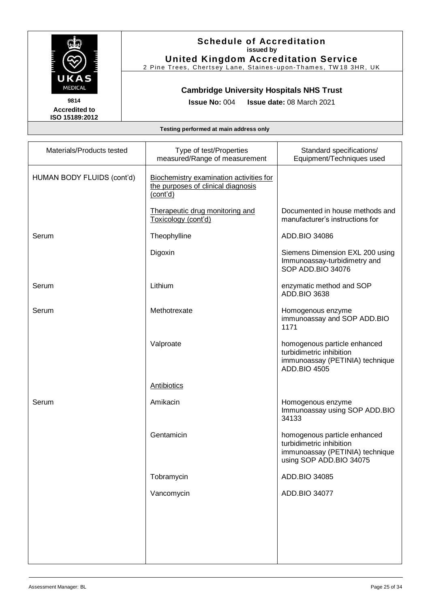

**United Kingdom Accreditation Service** 2 Pine Trees, Chertsey Lane, Staines-upon-Thames, TW18 3HR, UK

### **Cambridge University Hospitals NHS Trust**

**Accredited to ISO 15189:2012**  **Issue No:** 004 **Issue date:** 08 March 2021

| Type of test/Properties<br>measured/Range of measurement                                  | Standard specifications/<br>Equipment/Techniques used                                                                  |
|-------------------------------------------------------------------------------------------|------------------------------------------------------------------------------------------------------------------------|
| Biochemistry examination activities for<br>the purposes of clinical diagnosis<br>(cont'd) |                                                                                                                        |
| Therapeutic drug monitoring and<br>Toxicology (cont'd)                                    | Documented in house methods and<br>manufacturer's instructions for                                                     |
| Theophylline                                                                              | ADD.BIO 34086                                                                                                          |
| Digoxin                                                                                   | Siemens Dimension EXL 200 using<br>Immunoassay-turbidimetry and<br>SOP ADD.BIO 34076                                   |
| Lithium                                                                                   | enzymatic method and SOP<br><b>ADD.BIO 3638</b>                                                                        |
| Methotrexate                                                                              | Homogenous enzyme<br>immunoassay and SOP ADD.BIO<br>1171                                                               |
| Valproate                                                                                 | homogenous particle enhanced<br>turbidimetric inhibition<br>immunoassay (PETINIA) technique<br><b>ADD.BIO 4505</b>     |
| Antibiotics                                                                               |                                                                                                                        |
| Amikacin                                                                                  | Homogenous enzyme<br>Immunoassay using SOP ADD.BIO<br>34133                                                            |
| Gentamicin                                                                                | homogenous particle enhanced<br>turbidimetric inhibition<br>immunoassay (PETINIA) technique<br>using SOP ADD.BIO 34075 |
| Tobramycin                                                                                | ADD.BIO 34085                                                                                                          |
| Vancomycin                                                                                | ADD.BIO 34077                                                                                                          |
|                                                                                           |                                                                                                                        |
|                                                                                           |                                                                                                                        |
|                                                                                           |                                                                                                                        |
|                                                                                           |                                                                                                                        |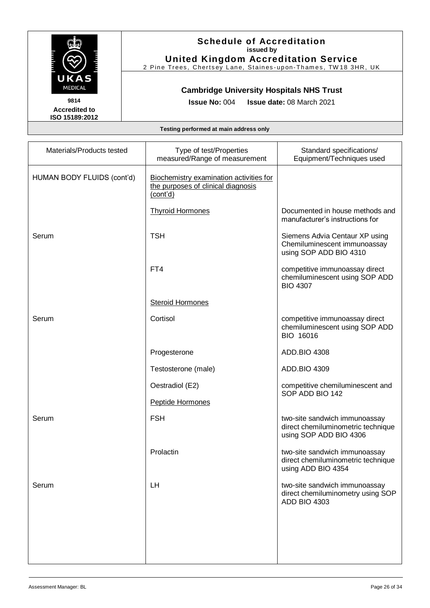

## **Schedule of Accreditation issued by**

**United Kingdom Accreditation Service** 2 Pine Trees, Chertsey Lane, Staines-upon-Thames, TW18 3HR, UK

### **Cambridge University Hospitals NHS Trust**

**Issue No:** 004 **Issue date:** 08 March 2021

| Materials/Products tested  | Type of test/Properties<br>measured/Range of measurement                                  | Standard specifications/<br>Equipment/Techniques used                                         |
|----------------------------|-------------------------------------------------------------------------------------------|-----------------------------------------------------------------------------------------------|
| HUMAN BODY FLUIDS (cont'd) | Biochemistry examination activities for<br>the purposes of clinical diagnosis<br>(cont'd) |                                                                                               |
|                            | <b>Thyroid Hormones</b>                                                                   | Documented in house methods and<br>manufacturer's instructions for                            |
| Serum                      | <b>TSH</b>                                                                                | Siemens Advia Centaur XP using<br>Chemiluminescent immunoassay<br>using SOP ADD BIO 4310      |
|                            | FT4                                                                                       | competitive immunoassay direct<br>chemiluminescent using SOP ADD<br><b>BIO 4307</b>           |
|                            | <b>Steroid Hormones</b>                                                                   |                                                                                               |
| Serum                      | Cortisol                                                                                  | competitive immunoassay direct<br>chemiluminescent using SOP ADD<br>BIO 16016                 |
|                            | Progesterone                                                                              | ADD.BIO 4308                                                                                  |
|                            | Testosterone (male)                                                                       | ADD.BIO 4309                                                                                  |
|                            | Oestradiol (E2)                                                                           | competitive chemiluminescent and<br>SOP ADD BIO 142                                           |
|                            | Peptide Hormones                                                                          |                                                                                               |
| Serum                      | <b>FSH</b>                                                                                | two-site sandwich immunoassay<br>direct chemiluminometric technique<br>using SOP ADD BIO 4306 |
|                            | Prolactin                                                                                 | two-site sandwich immunoassay<br>direct chemiluminometric technique<br>using ADD BIO 4354     |
| Serum                      | LH                                                                                        | two-site sandwich immunoassay<br>direct chemiluminometry using SOP<br><b>ADD BIO 4303</b>     |
|                            |                                                                                           |                                                                                               |
|                            |                                                                                           |                                                                                               |
|                            |                                                                                           |                                                                                               |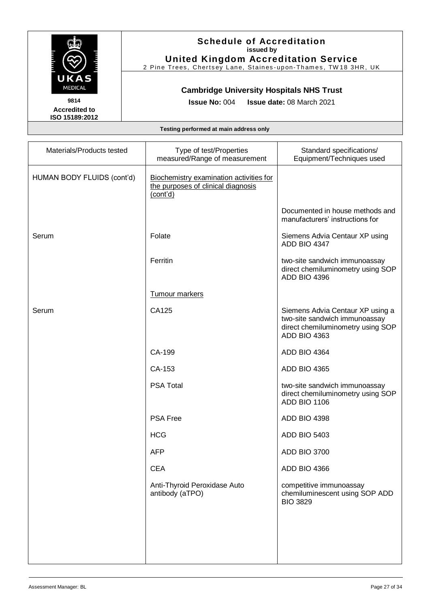

## **Schedule of Accreditation issued by**

**United Kingdom Accreditation Service** 2 Pine Trees, Chertsey Lane, Staines-upon-Thames, TW18 3HR, UK

### **Cambridge University Hospitals NHS Trust**

**Issue No:** 004 **Issue date:** 08 March 2021

| Materials/Products tested  | Type of test/Properties<br>measured/Range of measurement                                  | Standard specifications/<br>Equipment/Techniques used                                                                  |
|----------------------------|-------------------------------------------------------------------------------------------|------------------------------------------------------------------------------------------------------------------------|
| HUMAN BODY FLUIDS (cont'd) | Biochemistry examination activities for<br>the purposes of clinical diagnosis<br>(cont'd) |                                                                                                                        |
|                            |                                                                                           | Documented in house methods and<br>manufacturers' instructions for                                                     |
| Serum                      | Folate                                                                                    | Siemens Advia Centaur XP using<br><b>ADD BIO 4347</b>                                                                  |
|                            | Ferritin                                                                                  | two-site sandwich immunoassay<br>direct chemiluminometry using SOP<br>ADD BIO 4396                                     |
|                            | Tumour markers                                                                            |                                                                                                                        |
| Serum                      | CA125                                                                                     | Siemens Advia Centaur XP using a<br>two-site sandwich immunoassay<br>direct chemiluminometry using SOP<br>ADD BIO 4363 |
|                            | CA-199                                                                                    | <b>ADD BIO 4364</b>                                                                                                    |
|                            | CA-153                                                                                    | <b>ADD BIO 4365</b>                                                                                                    |
|                            | <b>PSA Total</b>                                                                          | two-site sandwich immunoassay<br>direct chemiluminometry using SOP<br>ADD BIO 1106                                     |
|                            | <b>PSA Free</b>                                                                           | ADD BIO 4398                                                                                                           |
|                            | <b>HCG</b>                                                                                | <b>ADD BIO 5403</b>                                                                                                    |
|                            | <b>AFP</b>                                                                                | <b>ADD BIO 3700</b>                                                                                                    |
|                            | <b>CEA</b>                                                                                | ADD BIO 4366                                                                                                           |
|                            | Anti-Thyroid Peroxidase Auto<br>antibody (aTPO)                                           | competitive immunoassay<br>chemiluminescent using SOP ADD<br><b>BIO 3829</b>                                           |
|                            |                                                                                           |                                                                                                                        |
|                            |                                                                                           |                                                                                                                        |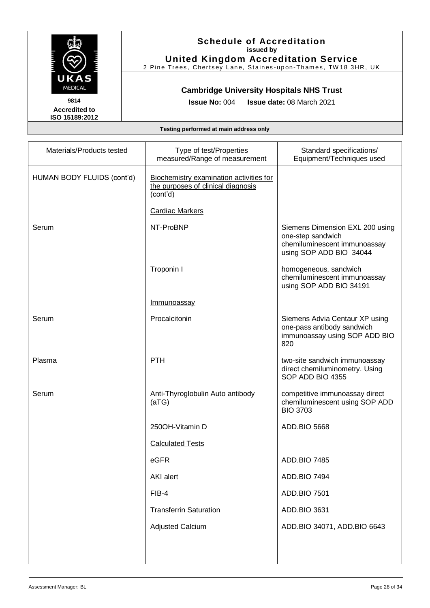

## **Schedule of Accreditation issued by**

**United Kingdom Accreditation Service** 2 Pine Trees, Chertsey Lane, Staines-upon-Thames, TW18 3HR, UK

#### **Cambridge University Hospitals NHS Trust**

**Issue No:** 004 **Issue date:** 08 March 2021

| Materials/Products tested  | Type of test/Properties<br>measured/Range of measurement                                                            | Standard specifications/<br>Equipment/Techniques used                                                           |
|----------------------------|---------------------------------------------------------------------------------------------------------------------|-----------------------------------------------------------------------------------------------------------------|
| HUMAN BODY FLUIDS (cont'd) | Biochemistry examination activities for<br>the purposes of clinical diagnosis<br>(cont'd)<br><b>Cardiac Markers</b> |                                                                                                                 |
|                            |                                                                                                                     |                                                                                                                 |
| Serum                      | NT-ProBNP                                                                                                           | Siemens Dimension EXL 200 using<br>one-step sandwich<br>chemiluminescent immunoassay<br>using SOP ADD BIO 34044 |
|                            | Troponin I                                                                                                          | homogeneous, sandwich<br>chemiluminescent immunoassay<br>using SOP ADD BIO 34191                                |
|                            | <b>Immunoassay</b>                                                                                                  |                                                                                                                 |
| Serum                      | Procalcitonin                                                                                                       | Siemens Advia Centaur XP using<br>one-pass antibody sandwich<br>immunoassay using SOP ADD BIO<br>820            |
| Plasma                     | <b>PTH</b>                                                                                                          | two-site sandwich immunoassay<br>direct chemiluminometry. Using<br>SOP ADD BIO 4355                             |
| Serum                      | Anti-Thyroglobulin Auto antibody<br>(aTG)                                                                           | competitive immunoassay direct<br>chemiluminescent using SOP ADD<br><b>BIO 3703</b>                             |
|                            | 250OH-Vitamin D                                                                                                     | <b>ADD.BIO 5668</b>                                                                                             |
|                            | <b>Calculated Tests</b>                                                                                             |                                                                                                                 |
|                            | eGFR                                                                                                                | <b>ADD.BIO 7485</b>                                                                                             |
|                            | AKI alert                                                                                                           | <b>ADD.BIO 7494</b>                                                                                             |
|                            | FIB-4                                                                                                               | ADD.BIO 7501                                                                                                    |
|                            | <b>Transferrin Saturation</b>                                                                                       | ADD.BIO 3631                                                                                                    |
|                            | <b>Adjusted Calcium</b>                                                                                             | ADD.BIO 34071, ADD.BIO 6643                                                                                     |
|                            |                                                                                                                     |                                                                                                                 |
|                            |                                                                                                                     |                                                                                                                 |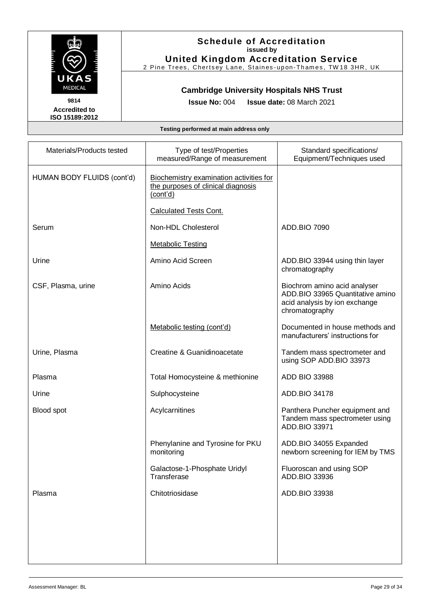

**United Kingdom Accreditation Service** 2 Pine Trees, Chertsey Lane, Staines-upon-Thames, TW18 3HR, UK

### **Cambridge University Hospitals NHS Trust**

**Accredited to ISO 15189:2012**  **Issue No:** 004 **Issue date:** 08 March 2021

| Materials/Products tested  | Type of test/Properties<br>measured/Range of measurement                                  | Standard specifications/<br>Equipment/Techniques used                                                               |
|----------------------------|-------------------------------------------------------------------------------------------|---------------------------------------------------------------------------------------------------------------------|
| HUMAN BODY FLUIDS (cont'd) | Biochemistry examination activities for<br>the purposes of clinical diagnosis<br>(cont'd) |                                                                                                                     |
|                            | <b>Calculated Tests Cont.</b>                                                             |                                                                                                                     |
| Serum                      | Non-HDL Cholesterol                                                                       | <b>ADD.BIO 7090</b>                                                                                                 |
|                            | <b>Metabolic Testing</b>                                                                  |                                                                                                                     |
| Urine                      | Amino Acid Screen                                                                         | ADD.BIO 33944 using thin layer<br>chromatography                                                                    |
| CSF, Plasma, urine         | Amino Acids                                                                               | Biochrom amino acid analyser<br>ADD.BIO 33965 Quantitative amino<br>acid analysis by ion exchange<br>chromatography |
|                            | Metabolic testing (cont'd)                                                                | Documented in house methods and<br>manufacturers' instructions for                                                  |
| Urine, Plasma              | Creatine & Guanidinoacetate                                                               | Tandem mass spectrometer and<br>using SOP ADD.BIO 33973                                                             |
| Plasma                     | Total Homocysteine & methionine                                                           | <b>ADD BIO 33988</b>                                                                                                |
| Urine                      | Sulphocysteine                                                                            | ADD.BIO 34178                                                                                                       |
| Blood spot                 | Acylcarnitines                                                                            | Panthera Puncher equipment and<br>Tandem mass spectrometer using<br>ADD.BIO 33971                                   |
|                            | Phenylanine and Tyrosine for PKU<br>monitoring                                            | ADD.BIO 34055 Expanded<br>newborn screening for IEM by TMS                                                          |
|                            | Galactose-1-Phosphate Uridyl<br>Transferase                                               | Fluoroscan and using SOP<br>ADD.BIO 33936                                                                           |
| Plasma                     | Chitotriosidase                                                                           | ADD.BIO 33938                                                                                                       |
|                            |                                                                                           |                                                                                                                     |
|                            |                                                                                           |                                                                                                                     |
|                            |                                                                                           |                                                                                                                     |
|                            |                                                                                           |                                                                                                                     |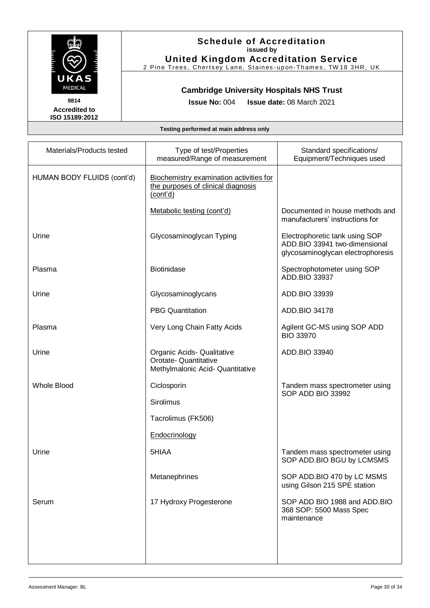

**ISO 15189:2012** 

## **Schedule of Accreditation issued by**

**United Kingdom Accreditation Service** 2 Pine Trees, Chertsey Lane, Staines-upon-Thames, TW18 3HR, UK

### **Cambridge University Hospitals NHS Trust**

**Accredited to** 

**Issue No:** 004 **Issue date:** 08 March 2021

| Materials/Products tested  | Type of test/Properties<br>measured/Range of measurement                                  | Standard specifications/<br>Equipment/Techniques used                                                |
|----------------------------|-------------------------------------------------------------------------------------------|------------------------------------------------------------------------------------------------------|
| HUMAN BODY FLUIDS (cont'd) | Biochemistry examination activities for<br>the purposes of clinical diagnosis<br>(cont'd) |                                                                                                      |
|                            | Metabolic testing (cont'd)                                                                | Documented in house methods and<br>manufacturers' instructions for                                   |
| Urine                      | Glycosaminoglycan Typing                                                                  | Electrophoretic tank using SOP<br>ADD.BIO 33941 two-dimensional<br>glycosaminoglycan electrophoresis |
| Plasma                     | <b>Biotinidase</b>                                                                        | Spectrophotometer using SOP<br>ADD.BIO 33937                                                         |
| Urine                      | Glycosaminoglycans                                                                        | ADD.BIO 33939                                                                                        |
|                            | <b>PBG Quantitation</b>                                                                   | ADD.BIO 34178                                                                                        |
| Plasma                     | Very Long Chain Fatty Acids                                                               | Agilent GC-MS using SOP ADD<br><b>BIO 33970</b>                                                      |
| Urine                      | Organic Acids- Qualitative<br>Orotate- Quantitative<br>Methylmalonic Acid- Quantitative   | ADD.BIO 33940                                                                                        |
| <b>Whole Blood</b>         | Ciclosporin                                                                               | Tandem mass spectrometer using<br>SOP ADD BIO 33992                                                  |
|                            | Sirolimus                                                                                 |                                                                                                      |
|                            | Tacrolimus (FK506)                                                                        |                                                                                                      |
|                            | Endocrinology                                                                             |                                                                                                      |
| Urine                      | 5HIAA                                                                                     | Tandem mass spectrometer using<br>SOP ADD.BIO BGU by LCMSMS                                          |
|                            | Metanephrines                                                                             | SOP ADD.BIO 470 by LC MSMS<br>using Gilson 215 SPE station                                           |
| Serum                      | 17 Hydroxy Progesterone                                                                   | SOP ADD BIO 1988 and ADD.BIO<br>368 SOP: 5500 Mass Spec<br>maintenance                               |
|                            |                                                                                           |                                                                                                      |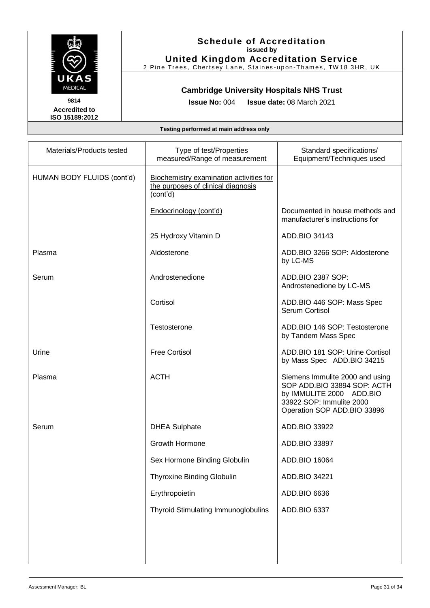

## **Schedule of Accreditation issued by**

**United Kingdom Accreditation Service** 2 Pine Trees, Chertsey Lane, Staines-upon-Thames, TW18 3HR, UK

### **Cambridge University Hospitals NHS Trust**

**Issue No:** 004 **Issue date:** 08 March 2021

| Materials/Products tested  | Type of test/Properties<br>measured/Range of measurement                                  | Standard specifications/<br>Equipment/Techniques used                                                                                                 |
|----------------------------|-------------------------------------------------------------------------------------------|-------------------------------------------------------------------------------------------------------------------------------------------------------|
| HUMAN BODY FLUIDS (cont'd) | Biochemistry examination activities for<br>the purposes of clinical diagnosis<br>(cont'd) |                                                                                                                                                       |
|                            | Endocrinology (cont'd)                                                                    | Documented in house methods and<br>manufacturer's instructions for                                                                                    |
|                            | 25 Hydroxy Vitamin D                                                                      | ADD.BIO 34143                                                                                                                                         |
| Plasma                     | Aldosterone                                                                               | ADD.BIO 3266 SOP: Aldosterone<br>by LC-MS                                                                                                             |
| Serum                      | Androstenedione                                                                           | ADD.BIO 2387 SOP:<br>Androstenedione by LC-MS                                                                                                         |
|                            | Cortisol                                                                                  | ADD.BIO 446 SOP: Mass Spec<br>Serum Cortisol                                                                                                          |
|                            | Testosterone                                                                              | ADD.BIO 146 SOP: Testosterone<br>by Tandem Mass Spec                                                                                                  |
| Urine                      | <b>Free Cortisol</b>                                                                      | ADD.BIO 181 SOP: Urine Cortisol<br>by Mass Spec ADD.BIO 34215                                                                                         |
| Plasma                     | <b>ACTH</b>                                                                               | Siemens Immulite 2000 and using<br>SOP ADD.BIO 33894 SOP: ACTH<br>by IMMULITE 2000 ADD.BIO<br>33922 SOP: Immulite 2000<br>Operation SOP ADD.BIO 33896 |
| Serum                      | <b>DHEA Sulphate</b>                                                                      | ADD.BIO 33922                                                                                                                                         |
|                            | Growth Hormone                                                                            | ADD.BIO 33897                                                                                                                                         |
|                            | Sex Hormone Binding Globulin                                                              | ADD.BIO 16064                                                                                                                                         |
|                            | <b>Thyroxine Binding Globulin</b>                                                         | ADD.BIO 34221                                                                                                                                         |
|                            | Erythropoietin                                                                            | ADD.BIO 6636                                                                                                                                          |
|                            | Thyroid Stimulating Immunoglobulins                                                       | ADD.BIO 6337                                                                                                                                          |
|                            |                                                                                           |                                                                                                                                                       |
|                            |                                                                                           |                                                                                                                                                       |
|                            |                                                                                           |                                                                                                                                                       |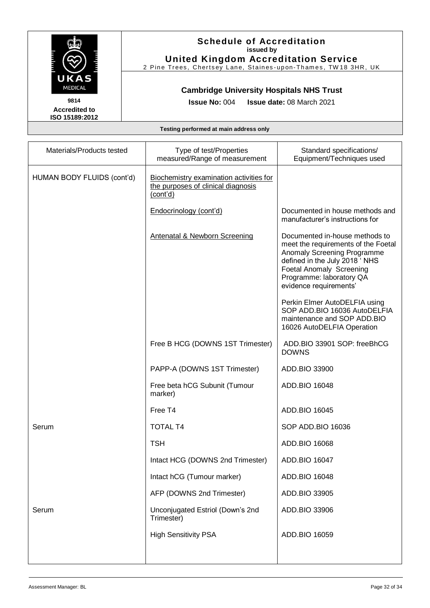

## **Schedule of Accreditation issued by**

**United Kingdom Accreditation Service** 2 Pine Trees, Chertsey Lane, Staines-upon-Thames, TW18 3HR, UK

### **Cambridge University Hospitals NHS Trust**

**Issue No:** 004 **Issue date:** 08 March 2021

| Materials/Products tested  | Type of test/Properties<br>measured/Range of measurement                                  | Standard specifications/<br>Equipment/Techniques used                                                                                                                                                                   |
|----------------------------|-------------------------------------------------------------------------------------------|-------------------------------------------------------------------------------------------------------------------------------------------------------------------------------------------------------------------------|
| HUMAN BODY FLUIDS (cont'd) | Biochemistry examination activities for<br>the purposes of clinical diagnosis<br>(cont'd) |                                                                                                                                                                                                                         |
|                            | Endocrinology (cont'd)                                                                    | Documented in house methods and<br>manufacturer's instructions for                                                                                                                                                      |
|                            | <b>Antenatal &amp; Newborn Screening</b>                                                  | Documented in-house methods to<br>meet the requirements of the Foetal<br>Anomaly Screening Programme<br>defined in the July 2018 'NHS<br>Foetal Anomaly Screening<br>Programme: laboratory QA<br>evidence requirements' |
|                            |                                                                                           | Perkin Elmer AutoDELFIA using<br>SOP ADD.BIO 16036 AutoDELFIA<br>maintenance and SOP ADD.BIO<br>16026 AutoDELFIA Operation                                                                                              |
|                            | Free B HCG (DOWNS 1ST Trimester)                                                          | ADD.BIO 33901 SOP: freeBhCG<br><b>DOWNS</b>                                                                                                                                                                             |
|                            | PAPP-A (DOWNS 1ST Trimester)                                                              | ADD.BIO 33900                                                                                                                                                                                                           |
|                            | Free beta hCG Subunit (Tumour<br>marker)                                                  | ADD.BIO 16048                                                                                                                                                                                                           |
|                            | Free T4                                                                                   | ADD.BIO 16045                                                                                                                                                                                                           |
| Serum                      | <b>TOTAL T4</b>                                                                           | SOP ADD.BIO 16036                                                                                                                                                                                                       |
|                            | <b>TSH</b>                                                                                | ADD.BIO 16068                                                                                                                                                                                                           |
|                            | Intact HCG (DOWNS 2nd Trimester)                                                          | ADD.BIO 16047                                                                                                                                                                                                           |
|                            | Intact hCG (Tumour marker)                                                                | ADD.BIO 16048                                                                                                                                                                                                           |
|                            | AFP (DOWNS 2nd Trimester)                                                                 | ADD.BIO 33905                                                                                                                                                                                                           |
| Serum                      | Unconjugated Estriol (Down's 2nd<br>Trimester)                                            | ADD.BIO 33906                                                                                                                                                                                                           |
|                            | <b>High Sensitivity PSA</b>                                                               | ADD.BIO 16059                                                                                                                                                                                                           |
|                            |                                                                                           |                                                                                                                                                                                                                         |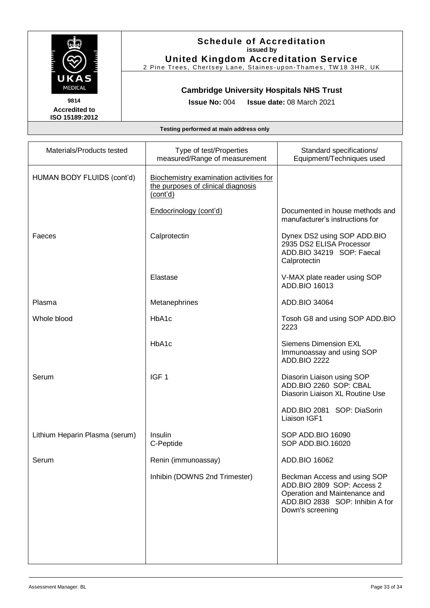

**United Kingdom Accreditation Service** 2 Pine Trees, Chertsey Lane, Staines-upon-Thames, TW18 3HR, UK

### **Cambridge University Hospitals NHS Trust**

**Accredited to ISO 15189:2012**  **Issue No:** 004 **Issue date:** 08 March 2021

| Materials/Products tested      | Type of test/Properties<br>measured/Range of measurement                                  | Standard specifications/<br>Equipment/Techniques used                                                                                              |
|--------------------------------|-------------------------------------------------------------------------------------------|----------------------------------------------------------------------------------------------------------------------------------------------------|
| HUMAN BODY FLUIDS (cont'd)     | Biochemistry examination activities for<br>the purposes of clinical diagnosis<br>(cont'd) |                                                                                                                                                    |
|                                | Endocrinology (cont'd)                                                                    | Documented in house methods and<br>manufacturer's instructions for                                                                                 |
| Faeces                         | Calprotectin                                                                              | Dynex DS2 using SOP ADD.BIO<br>2935 DS2 ELISA Processor<br>ADD.BIO 34219 SOP: Faecal<br>Calprotectin                                               |
|                                | Elastase                                                                                  | V-MAX plate reader using SOP<br>ADD.BIO 16013                                                                                                      |
| Plasma                         | Metanephrines                                                                             | ADD.BIO 34064                                                                                                                                      |
| Whole blood                    | HbA1c                                                                                     | Tosoh G8 and using SOP ADD.BIO<br>2223                                                                                                             |
|                                | HbA1c                                                                                     | <b>Siemens Dimension EXL</b><br>Immunoassay and using SOP<br><b>ADD.BIO 2222</b>                                                                   |
| Serum                          | IGF <sub>1</sub>                                                                          | Diasorin Liaison using SOP<br>ADD.BIO 2260 SOP: CBAL<br>Diasorin Liaison XL Routine Use                                                            |
|                                |                                                                                           | ADD.BIO 2081 SOP: DiaSorin<br>Liaison IGF1                                                                                                         |
| Lithium Heparin Plasma (serum) | Insulin<br>C-Peptide                                                                      | SOP ADD.BIO 16090<br>SOP ADD.BIO.16020                                                                                                             |
| Serum                          | Renin (immunoassay)                                                                       | ADD.BIO 16062                                                                                                                                      |
|                                | Inhibin (DOWNS 2nd Trimester)                                                             | Beckman Access and using SOP<br>ADD.BIO 2809 SOP: Access 2<br>Operation and Maintenance and<br>ADD.BIO 2838 SOP: Inhibin A for<br>Down's screening |
|                                |                                                                                           |                                                                                                                                                    |